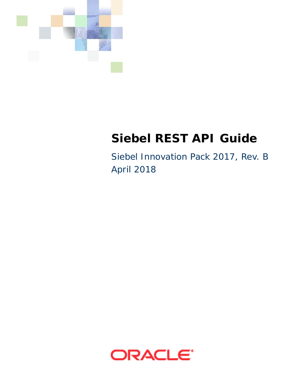

# <span id="page-0-0"></span>**Siebel REST API Guide**

Siebel Innovation Pack 2017, Rev. B April 2018

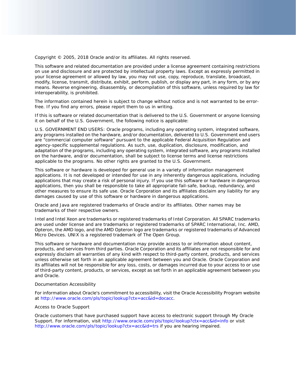Copyright © 2005, 2018 Oracle and/or its affiliates. All rights reserved.

This software and related documentation are provided under a license agreement containing restrictions on use and disclosure and are protected by intellectual property laws. Except as expressly permitted in your license agreement or allowed by law, you may not use, copy, reproduce, translate, broadcast, modify, license, transmit, distribute, exhibit, perform, publish, or display any part, in any form, or by any means. Reverse engineering, disassembly, or decompilation of this software, unless required by law for interoperability, is prohibited.

The information contained herein is subject to change without notice and is not warranted to be errorfree. If you find any errors, please report them to us in writing.

If this is software or related documentation that is delivered to the U.S. Government or anyone licensing it on behalf of the U.S. Government, the following notice is applicable:

U.S. GOVERNMENT END USERS: Oracle programs, including any operating system, integrated software, any programs installed on the hardware, and/or documentation, delivered to U.S. Government end users are "commercial computer software" pursuant to the applicable Federal Acquisition Regulation and agency-specific supplemental regulations. As such, use, duplication, disclosure, modification, and adaptation of the programs, including any operating system, integrated software, any programs installed on the hardware, and/or documentation, shall be subject to license terms and license restrictions applicable to the programs. No other rights are granted to the U.S. Government.

This software or hardware is developed for general use in a variety of information management applications. It is not developed or intended for use in any inherently dangerous applications, including applications that may create a risk of personal injury. If you use this software or hardware in dangerous applications, then you shall be responsible to take all appropriate fail-safe, backup, redundancy, and other measures to ensure its safe use. Oracle Corporation and its affiliates disclaim any liability for any damages caused by use of this software or hardware in dangerous applications.

Oracle and Java are registered trademarks of Oracle and/or its affiliates. Other names may be trademarks of their respective owners.

Intel and Intel Xeon are trademarks or registered trademarks of Intel Corporation. All SPARC trademarks are used under license and are trademarks or registered trademarks of SPARC International, Inc. AMD, Opteron, the AMD logo, and the AMD Opteron logo are trademarks or registered trademarks of Advanced Micro Devices. UNIX is a registered trademark of The Open Group.

This software or hardware and documentation may provide access to or information about content, products, and services from third parties. Oracle Corporation and its affiliates are not responsible for and expressly disclaim all warranties of any kind with respect to third-party content, products, and services unless otherwise set forth in an applicable agreement between you and Oracle. Oracle Corporation and its affiliates will not be responsible for any loss, costs, or damages incurred due to your access to or use of third-party content, products, or services, except as set forth in an applicable agreement between you and Oracle.

#### Documentation Accessibility

For information about Oracle's commitment to accessibility, visit the Oracle Accessibility Program website at http://www.oracle.com/pls/topic/lookup?ctx=acc&id=docacc.

#### Access to Oracle Support

Oracle customers that have purchased support have access to electronic support through My Oracle Support. For information, visit http://www.oracle.com/pls/topic/lookup?ctx=acc&id=info or visit http://www.oracle.com/pls/topic/lookup?ctx=acc&id=trs if you are hearing impaired.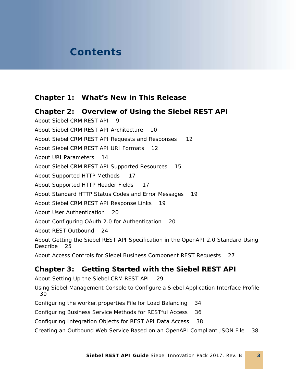## **Contents**

#### **[Chapter 1: What's New in This Release](#page-6-0)**

#### **[Chapter 2: Overview of Using the Siebel REST API](#page-8-0)** [About Siebel CRM REST API 9](#page-8-1)

[About Siebel CRM REST API Architecture 10](#page-9-0)

[About Siebel CRM REST API Requests and Responses 12](#page-11-0)

[About Siebel CRM REST API URI Formats 12](#page-11-1)

[About URI Parameters 14](#page-13-0)

[About Siebel CRM REST API Supported Resources 15](#page-14-0)

[About Supported HTTP Methods 17](#page-16-0)

[About Supported HTTP Header Fields 17](#page-16-1)

[About Standard HTTP Status Codes and Error Messages 19](#page-18-0)

[About Siebel CRM REST API Response Links 19](#page-18-1)

[About User Authentication 20](#page-19-0)

[About Configuring OAuth 2.0 for Authentication 20](#page-19-1)

[About REST Outbound 24](#page-23-0)

[About Getting the Siebel REST API Specification in the OpenAPI 2.0 Standard Using](#page-24-0)  Describe 25

[About Access Controls for Siebel Business Component REST Requests 27](#page-26-0)

#### **[Chapter 3: Getting Started with the Siebel REST API](#page-28-0)**

[About Setting Up the Siebel CRM REST API 29](#page-28-1)

[Using Siebel Management Console to Configure a Siebel Application Interface Profile](#page-29-0)  30

[Configuring the worker.properties File for Load Balancing 34](#page-33-0)

[Configuring Business Service Methods for RESTful Access 36](#page-35-0)

[Configuring Integration Objects for REST API Data Access 38](#page-37-0)

[Creating an Outbound Web Service Based on an OpenAPI Compliant JSON File 38](#page-37-1)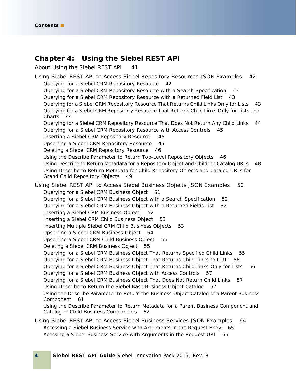#### **[Chapter 4: Using the Siebel REST API](#page-40-0)**

[About Using the Siebel REST API 41](#page-40-1)

[Using Siebel REST API to Access Siebel Repository Resources JSON Examples 42](#page-41-0) [Querying for a Siebel CRM Repository Resource 42](#page-41-1) [Querying for a Siebel CRM Repository Resource with a Search Specification 43](#page-42-0) [Querying for a Siebel CRM Repository Resource with a Returned Field List 43](#page-42-1) [Querying for a Siebel CRM Repository Resource That Returns Child Links Only for Lists 43](#page-42-2) [Querying for a Siebel CRM Repository Resource That Returns Child Links Only for Lists and](#page-43-0)  Charts 44 [Querying for a Siebel CRM Repository Resource That Does Not Return Any Child Links 44](#page-43-1) [Querying for a Siebel CRM Repository Resource with Access Controls 45](#page-44-0) [Inserting a Siebel CRM Repository Resource 45](#page-44-1) [Upserting a Siebel CRM Repository Resource 45](#page-44-2) [Deleting a Siebel CRM Repository Resource 46](#page-45-0) [Using the Describe Parameter to Return Top-Level Repository Objects 46](#page-45-1) [Using Describe to Return Metadata for a Repository Object and Children Catalog URLs 48](#page-47-0) [Using Describe to Return Metadata for Child Repository Objects and Catalog URLs for](#page-48-0)  Grand Child Repository Objects 49 [Using Siebel REST API to Access Siebel Business Objects JSON Examples 50](#page-49-0) [Querying for a Siebel CRM Business Object 51](#page-50-0) [Querying for a Siebel CRM Business Object with a Search Specification 52](#page-51-0) [Querying for a Siebel CRM Business Object with a Returned Fields List 52](#page-51-1) [Inserting a Siebel CRM Business Object 52](#page-51-2) [Inserting a Siebel CRM Child Business Object 53](#page-52-0) [Inserting Multiple Siebel CRM Child Business Objects 53](#page-52-1) [Upserting a Siebel CRM Business Object 54](#page-53-0) [Upserting a Siebel CRM Child Business Object 55](#page-54-0) [Deleting a Siebel CRM Business Object 55](#page-54-1) [Querying for a Siebel CRM Business Object That Returns Specified Child Links 55](#page-54-2) [Querying for a Siebel CRM Business Object That Returns Child Links to CUT 56](#page-55-0) [Querying for a Siebel CRM Business Object That Returns Child Links Only for Lists 56](#page-55-1) [Querying for a Siebel CRM Business Object with Access Controls 57](#page-56-0) [Querying for a Siebel CRM Business Object That Does Not Return Child Links 57](#page-56-1) [Using Describe to Return the Siebel Base Business Object Catalog 57](#page-56-2) [Using the Describe Parameter to Return the Business Object Catalog of a Parent Business](#page-60-0)  Component 61 [Using the Describe Parameter to Return Metadata for a Parent Business Component and](#page-61-0)  Catalog of Child Business Components 62 [Using Siebel REST API to Access Siebel Business Services JSON Examples 64](#page-63-0)

### [Accessing a Siebel Business Service with Arguments in the Request Body 65](#page-64-0) [Acessing a Siebel Business Service with Arguments in the Request URI 66](#page-65-0)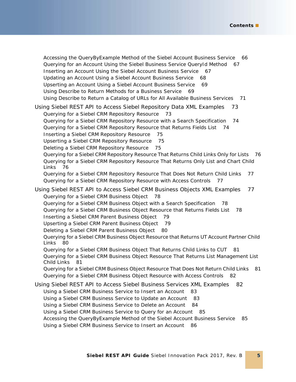| Accessing the QueryByExample Method of the Siebel Account Business Service<br>66<br>Querying for an Account Using the Siebel Business Service QueryId Method 67<br>Inserting an Account Using the Siebel Account Business Service<br>- 67<br>Updating an Account Using a Siebel Account Business Service<br>68<br>Upserting an Account Using a Siebel Account Business Service<br>69<br>Using Describe to Return Methods for a Business Service<br>69<br>Using Describe to Return a Catalog of URLs for All Available Business Services<br>71                                                                                                                                                                                                                                                                                                                                                                                                                      |
|--------------------------------------------------------------------------------------------------------------------------------------------------------------------------------------------------------------------------------------------------------------------------------------------------------------------------------------------------------------------------------------------------------------------------------------------------------------------------------------------------------------------------------------------------------------------------------------------------------------------------------------------------------------------------------------------------------------------------------------------------------------------------------------------------------------------------------------------------------------------------------------------------------------------------------------------------------------------|
| Using Siebel REST API to Access Siebel Repository Data XML Examples<br>73<br>Querying for a Siebel CRM Repository Resource<br>73<br>Querying for a Siebel CRM Repository Resource with a Search Specification<br>74<br>Querying for a Siebel CRM Repository Resource that Returns Fields List<br>74<br>Inserting a Siebel CRM Repository Resource<br>75<br>Upserting a Siebel CRM Repository Resource<br>75<br>Deleting a Siebel CRM Repository Resource<br>75<br>Querying for a Siebel CRM Repository Resource That Returns Child Links Only for Lists 76<br>Querying for a Siebel CRM Repository Resource That Returns Only List and Chart Child<br>Links<br>76<br>Querying for a Siebel CRM Repository Resource That Does Not Return Child Links<br>77<br>Querying for a Siebel CRM Repository Resource with Access Controls<br>77                                                                                                                              |
| Using Siebel REST API to Access Siebel CRM Business Objects XML Examples<br>77<br>Querying for a Siebel CRM Business Object<br>-78<br>Querying for a Siebel CRM Business Object with a Search Specification<br>78<br>Querying for a Siebel CRM Business Object Resource that Returns Fields List<br>78<br>Inserting a Siebel CRM Parent Business Object<br>79<br>Upserting a Siebel CRM Parent Business Object<br>79<br>Deleting a Siebel CRM Parent Business Object<br>80<br>Querying for a Siebel CRM Business Object Resource that Returns UT Account Partner Child<br>Links<br>-80<br>Querying for a Siebel CRM Business Object That Returns Child Links to CUT<br>-81<br>Querying for a Siebel CRM Business Object Resource That Returns List Management List<br>Child Links<br>81<br>Querying for a Siebel CRM Business Object Resource That Does Not Return Child Links 81<br>Querying for a Siebel CRM Business Object Resource with Access Controls<br>82 |
| Using Siebel REST API to Access Siebel Business Services XML Examples<br>82<br>Using a Siebel CRM Business Service to Insert an Account<br>83<br>Using a Siebel CRM Business Service to Update an Account<br>83<br>Using a Siebel CRM Business Service to Delete an Account<br>84<br>Using a Siebel CRM Business Service to Query for an Account<br>85<br>Accessing the QueryByExample Method of the Siebel Account Business Service<br>85<br>Using a Siebel CRM Business Service to Insert an Account 86                                                                                                                                                                                                                                                                                                                                                                                                                                                          |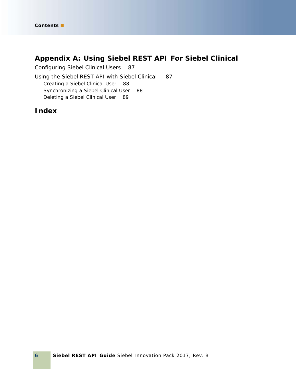### **[Appendix A: Using Siebel REST API For Siebel Clinical](#page-86-0)**

[Configuring Siebel Clinical Users 87](#page-86-1)

[Using the Siebel REST API with Siebel Clinical 87](#page-86-2) [Creating a Siebel Clinical User 88](#page-87-0) [Synchronizing a Siebel Clinical User 88](#page-87-1) [Deleting a Siebel Clinical User 89](#page-88-0)

#### **[Index](#page-90-0)**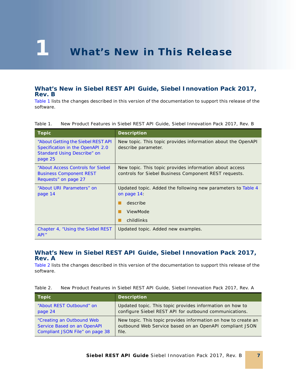#### <span id="page-6-0"></span>**What's New in Siebel REST API Guide, Siebel Innovation Pack 2017, Rev. B**

[Table 1](#page-6-1) lists the changes described in this version of the documentation to support this release of the software.

<span id="page-6-1"></span>

| Table 1. |  |  |  | New Product Features in Siebel REST API Guide, Siebel Innovation Pack 2017, Rev. B |  |
|----------|--|--|--|------------------------------------------------------------------------------------|--|
|----------|--|--|--|------------------------------------------------------------------------------------|--|

| <b>Topic</b>                                                                                                     | Description                                                                                                      |
|------------------------------------------------------------------------------------------------------------------|------------------------------------------------------------------------------------------------------------------|
| "About Getting the Siebel REST API<br>Specification in the OpenAPI 2.0<br>Standard Using Describe" on<br>page 25 | New topic. This topic provides information about the OpenAPI<br>describe parameter.                              |
| "About Access Controls for Siebel<br><b>Business Component REST</b><br>Requests" on page 27                      | New topic. This topic provides information about access<br>controls for Siebel Business Component REST requests. |
| "About URI Parameters" on<br>page 14                                                                             | Updated topic. Added the following new parameters to Table 4<br>on page 14:                                      |
|                                                                                                                  | describe                                                                                                         |
|                                                                                                                  | ViewMode                                                                                                         |
|                                                                                                                  | childlinks                                                                                                       |
| Chapter 4, "Using the Siebel REST<br>API''                                                                       | Updated topic. Added new examples.                                                                               |

#### **What's New in Siebel REST API Guide, Siebel Innovation Pack 2017, Rev. A**

[Table 2](#page-6-2) lists the changes described in this version of the documentation to support this release of the software.

<span id="page-6-2"></span>

|  | Table 2. New Product Features in Siebel REST API Guide, Siebel Innovation Pack 2017, Rev. A |  |  |  |  |
|--|---------------------------------------------------------------------------------------------|--|--|--|--|
|--|---------------------------------------------------------------------------------------------|--|--|--|--|

| <b>Topic</b>                    | <b>Description</b>                                             |
|---------------------------------|----------------------------------------------------------------|
| "About REST Outbound" on        | Updated topic. This topic provides information on how to       |
| page 24                         | configure Siebel REST API for outbound communications.         |
| "Creating an Outbound Web       | New topic. This topic provides information on how to create an |
| Service Based on an OpenAPI     | outbound Web Service based on an OpenAPI compliant JSON        |
| Compliant JSON File" on page 38 | file.                                                          |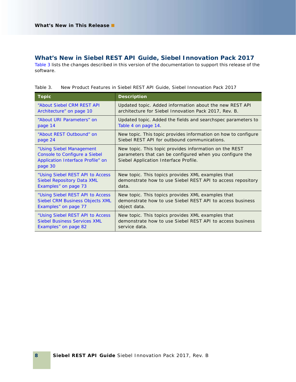#### **What's New in Siebel REST API Guide, Siebel Innovation Pack 2017**

[Table 3](#page-7-0) lists the changes described in this version of the documentation to support this release of the software.

<span id="page-7-0"></span>

| Table 3. | New Product Features in Siebel REST API Guide, Siebel Innovation Pack 2017 |  |  |  |  |  |  |  |  |
|----------|----------------------------------------------------------------------------|--|--|--|--|--|--|--|--|
|----------|----------------------------------------------------------------------------|--|--|--|--|--|--|--|--|

| <b>Topic</b>                                                                                              | Description                                                                                                                                                 |
|-----------------------------------------------------------------------------------------------------------|-------------------------------------------------------------------------------------------------------------------------------------------------------------|
| "About Siebel CRM REST API                                                                                | Updated topic. Added information about the new REST API                                                                                                     |
| Architecture" on page 10                                                                                  | architecture for Siebel Innovation Pack 2017, Rev. B.                                                                                                       |
| "About URI Parameters" on                                                                                 | Updated topic. Added the fields and searchspec parameters to                                                                                                |
| page 14                                                                                                   | Table 4 on page 14.                                                                                                                                         |
| "About REST Outbound" on                                                                                  | New topic. This topic provides information on how to configure                                                                                              |
| page 24                                                                                                   | Siebel REST API for outbound communications.                                                                                                                |
| "Using Siebel Management<br>Console to Configure a Siebel<br>Application Interface Profile" on<br>page 30 | New topic. This topic provides information on the REST<br>parameters that can be configured when you configure the<br>Siebel Application Interface Profile. |
| "Using Siebel REST API to Access                                                                          | New topic. This topics provides XML examples that                                                                                                           |
| <b>Siebel Repository Data XML</b>                                                                         | demonstrate how to use Siebel REST API to access repository                                                                                                 |
| Examples" on page 73                                                                                      | data.                                                                                                                                                       |
| "Using Siebel REST API to Access                                                                          | New topic. This topics provides XML examples that                                                                                                           |
| Siebel CRM Business Objects XML                                                                           | demonstrate how to use Siebel REST API to access business                                                                                                   |
| Examples" on page 77                                                                                      | object data.                                                                                                                                                |
| "Using Siebel REST API to Access                                                                          | New topic. This topics provides XML examples that                                                                                                           |
| <b>Siebel Business Services XML</b>                                                                       | demonstrate how to use Siebel REST API to access business                                                                                                   |
| Examples" on page 82                                                                                      | service data.                                                                                                                                               |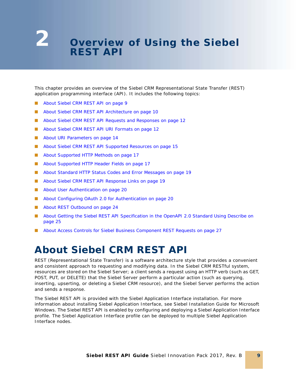# <span id="page-8-0"></span>**2 Overview of Using the Siebel REST API**

This chapter provides an overview of the Siebel CRM Representational State Transfer (REST) application programming interface (API). It includes the following topics:

- [About Siebel CRM REST API on page 9](#page-8-1)
- [About Siebel CRM REST API Architecture on page 10](#page-9-0)
- [About Siebel CRM REST API Requests and Responses on page 12](#page-11-0)
- [About Siebel CRM REST API URI Formats on page 12](#page-11-1)
- [About URI Parameters on page 14](#page-13-0)
- [About Siebel CRM REST API Supported Resources on page 15](#page-14-0)
- [About Supported HTTP Methods on page 17](#page-16-0)
- [About Supported HTTP Header Fields on page 17](#page-16-1)
- [About Standard HTTP Status Codes and Error Messages on page 19](#page-18-0)
- [About Siebel CRM REST API Response Links on page 19](#page-18-1)
- [About User Authentication on page 20](#page-19-0)
- [About Configuring OAuth 2.0 for Authentication on page 20](#page-19-1)
- [About REST Outbound on page 24](#page-23-0)
- About Getting the Siebel REST API Specification in the OpenAPI 2.0 Standard Using Describe on [page 25](#page-24-0)
- [About Access Controls for Siebel Business Component REST Requests on page 27](#page-26-0)

# <span id="page-8-1"></span>**About Siebel CRM REST API**

REST (Representational State Transfer) is a software architecture style that provides a convenient and consistent approach to requesting and modifying data. In the Siebel CRM RESTful system, resources are stored on the Siebel Server; a client sends a request using an HTTP verb (such as GET, POST, PUT, or DELETE) that the Siebel Server perform a particular action (such as querying, inserting, upserting, or deleting a Siebel CRM resource), and the Siebel Server performs the action and sends a response.

The Siebel REST API is provided with the Siebel Application Interface installation. For more information about installing Siebel Application Interface, see *Siebel Installation Guide for Microsoft Windows*. The Siebel REST API is enabled by configuring and deploying a Siebel Application Interface profile. The Siebel Application Interface profile can be deployed to multiple Siebel Application Interface nodes.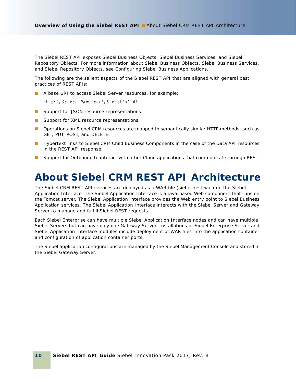The Siebel REST API exposes Siebel Business Objects, Siebel Business Services, and Siebel Repository Objects. For more information about Siebel Business Objects, Siebel Business Services, and Siebel Repository Objects, see *Configuring Siebel Business Applications*.

The following are the salient aspects of the Siebel REST API that are aligned with general best practices of REST APIs:

■ A base URI to access Siebel Server resources, for example:

http://Server Name: port/Siebel/v1.0/

- Support for JSON resource representations.
- Support for XML resource representations.
- Operations on Siebel CRM resources are mapped to semantically similar HTTP methods, such as GET, PUT, POST, and DELETE.
- Hypertext links to Siebel CRM Child Business Components in the case of the Data API resources in the REST API response.
- Support for Outbound to interact with other Cloud applications that communicate through REST.

## <span id="page-9-1"></span><span id="page-9-0"></span>**About Siebel CRM REST API Architecture**

The Siebel CRM REST API services are deployed as a WAR file (siebel-rest.war) on the Siebel Application Interface. The Siebel Application Interface is a java-based Web component that runs on the Tomcat server. The Siebel Application Interface provides the Web entry point to Siebel Business Application services. The Siebel Application Interface interacts with the Siebel Server and Gateway Server to manage and fulfill Siebel REST requests.

Each Siebel Enterprise can have multiple Siebel Application Interface nodes and can have multiple Siebel Servers but can have only one Gateway Server. Installations of Siebel Enterprise Server and Siebel Application Interface modules include deployment of WAR files into the application container and configuration of application container ports.

The Siebel application configurations are managed by the Siebel Management Console and stored in the Siebel Gateway Server.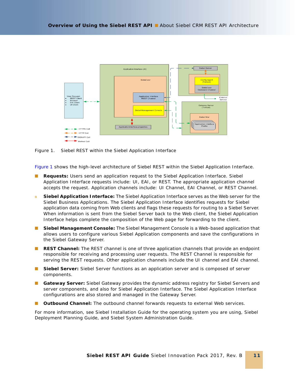

<span id="page-10-0"></span>Figure 1. Siebel REST within the Siebel Application Interface

[Figure 1](#page-10-0) shows the high-level architecture of Siebel REST within the Siebel Application Interface.

- **Requests:** Users send an application request to the Siebel Application Interface. Siebel Application Interface requests include: UI, EAI, or REST. The appropriate application channel accepts the request. Application channels include: UI Channel, EAI Channel, or REST Channel.
- n **Siebel Application Interface:** The Siebel Application Interface serves as the Web server for the Siebel Business Applications. The Siebel Application Interface identifies requests for Siebel application data coming from Web clients and flags these requests for routing to a Siebel Server. When information is sent from the Siebel Server back to the Web client, the Siebel Application Interface helps complete the composition of the Web page for forwarding to the client.
- Siebel Management Console: The Siebel Management Console is a Web-based application that allows users to configure various Siebel Application components and save the configurations in the Siebel Gateway Server.
- **REST Channel:** The REST channel is one of three application channels that provide an endpoint responsible for receiving and processing user requests. The REST Channel is responsible for serving the REST requests. Other application channels include the UI channel and EAI channel.
- **Siebel Server:** Siebel Server functions as an application server and is composed of server components.
- **Gateway Server:** Siebel Gateway provides the dynamic address registry for Siebel Servers and server components, and also for Siebel Application Interface. The Siebel Application Interface configurations are also stored and managed in the Gateway Server.
- **Outbound Channel:** The outbound channel forwards requests to external Web services.

For more information, see *Siebel Installation Guide* for the operating system you are using, *Siebel Deployment Planning Guide*, and *Siebel System Administration Guide*.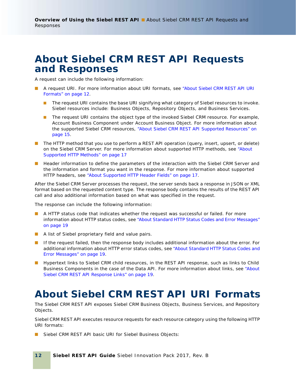### <span id="page-11-0"></span>**About Siebel CRM REST API Requests and Responses**

A request can include the following information:

- A request URI. For more information about URI formats, see "About Siebel CRM REST API URI [Formats" on page 12.](#page-11-1)
	- The request URI contains the base URI signifying what category of Siebel resources to invoke. Siebel resources include: Business Objects, Repository Objects, and Business Services.
	- The request URI contains the object type of the invoked Siebel CRM resource. For example, Account Business Component under Account Business Object. For more information about the supported Siebel CRM resources, ["About Siebel CRM REST API Supported Resources" on](#page-14-0)  [page 15.](#page-14-0)
- The HTTP method that you use to perform a REST API operation (query, insert, upsert, or delete) on the Siebel CRM Server. For more information about supported HTTP methods, see ["About](#page-16-0)  [Supported HTTP Methods" on page 17](#page-16-0)
- Header information to define the parameters of the interaction with the Siebel CRM Server and the information and format you want in the response. For more information about supported HTTP headers, see ["About Supported HTTP Header Fields" on page 17.](#page-16-1)

After the Siebel CRM Server processes the request, the server sends back a response in JSON or XML format based on the requested content type. The response body contains the results of the REST API call and also additional information based on what was specified in the request.

The response can include the following information:

- A HTTP status code that indicates whether the request was successful or failed. For more information about HTTP status codes, see ["About Standard HTTP Status Codes and Error Messages"](#page-18-0)  [on page 19](#page-18-0)
- A list of Siebel proprietary field and value pairs.
- If the request failed, then the response body includes additional information about the error. For additional information about HTTP error status codes, see ["About Standard HTTP Status Codes and](#page-18-0)  [Error Messages" on page 19](#page-18-0).
- Hypertext links to Siebel CRM child resources, in the REST API response, such as links to Child Business Components in the case of the Data API. For more information about links, see ["About](#page-18-1)  [Siebel CRM REST API Response Links" on page 19](#page-18-1).

## <span id="page-11-1"></span>**About Siebel CRM REST API URI Formats**

The Siebel CRM REST API exposes Siebel CRM Business Objects, Business Services, and Repository Objects.

Siebel CRM REST API executes resource requests for each resource category using the following HTTP URI formats:

■ Siebel CRM REST API basic URI for Siebel Business Objects: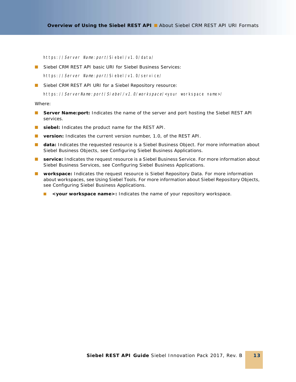https://Server Name:port/Siebel/v1.0/data/

- Siebel CRM REST API basic URI for Siebel Business Services: https://Server Name: port/Siebel/v1.0/service/
- Siebel CRM REST API URI for a Siebel Repository resource:

https://ServerName:port/Siebel/v1.0/workspace/<your workspace name>/

#### Where:

- **Server Name:port:** Indicates the name of the server and port hosting the Siebel REST API services.
- **siebel:** Indicates the product name for the REST API.
- **version:** Indicates the current version number, 1.0, of the REST API.
- **data:** Indicates the requested resource is a Siebel Business Object. For more information about Siebel Business Objects, see *Configuring Siebel Business Applications*.
- **service:** Indicates the request resource is a Siebel Business Service. For more information about Siebel Business Services, see *Configuring Siebel Business Applications*.
- **workspace:** Indicates the request resource is Siebel Repository Data. For more information about workspaces, see *Using Siebel Tools*. For more information about Siebel Repository Objects, see *Configuring Siebel Business Applications*.
	- **E** <your workspace name>: Indicates the name of your repository workspace.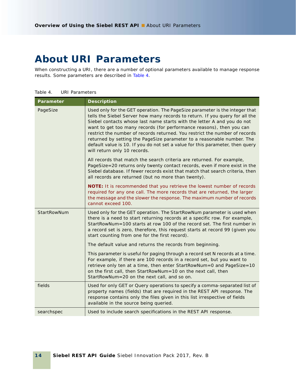# <span id="page-13-1"></span><span id="page-13-0"></span>**About URI Parameters**

When constructing a URI, there are a number of optional parameters available to manage response results. Some parameters are described in [Table 4](#page-13-3).

| Parameter   | Description                                                                                                                                                                                                                                                                                                                                                                                                                                                                                                                                                                              |
|-------------|------------------------------------------------------------------------------------------------------------------------------------------------------------------------------------------------------------------------------------------------------------------------------------------------------------------------------------------------------------------------------------------------------------------------------------------------------------------------------------------------------------------------------------------------------------------------------------------|
| PageSize    | Used only for the GET operation. The PageSize parameter is the integer that<br>tells the Siebel Server how many records to return. If you query for all the<br>Siebel contacts whose last name starts with the letter A and you do not<br>want to get too many records (for performance reasons), then you can<br>restrict the number of records returned. You restrict the number of records<br>returned by setting the PageSize parameter to a reasonable number. The<br>default value is 10. If you do not set a value for this parameter, then query<br>will return only 10 records. |
|             | All records that match the search criteria are returned. For example,<br>PageSize=20 returns only twenty contact records, even if more exist in the<br>Siebel database. If fewer records exist that match that search criteria, then<br>all records are returned (but no more than twenty).                                                                                                                                                                                                                                                                                              |
|             | NOTE: It is recommended that you retrieve the lowest number of records<br>required for any one call. The more records that are returned, the larger<br>the message and the slower the response. The maximum number of records<br>cannot exceed 100.                                                                                                                                                                                                                                                                                                                                      |
| StartRowNum | Used only for the GET operation. The StartRowNum parameter is used when<br>there is a need to start returning records at a specific row. For example,<br>StartRowNum=100 starts at row 100 of the record set. The first number in<br>a record set is zero, therefore, this request starts at record 99 (given you<br>start counting from one for the first record).                                                                                                                                                                                                                      |
|             | The default value and returns the records from beginning.                                                                                                                                                                                                                                                                                                                                                                                                                                                                                                                                |
|             | This parameter is useful for paging through a record set N records at a time.<br>For example, if there are 100 records in a record set, but you want to<br>retrieve only ten at a time, then enter StartRowNum=0 and PageSize=10<br>on the first call, then StartRowNum=10 on the next call, then<br>StartRowNum=20 on the next call, and so on.                                                                                                                                                                                                                                         |
| fields      | Used for only GET or Query operations to specify a comma-separated list of<br>property names (fields) that are required in the REST API response. The<br>response contains only the files given in this list irrespective of fields<br>available in the source being queried.                                                                                                                                                                                                                                                                                                            |
| searchspec  | Used to include search specifications in the REST API response.                                                                                                                                                                                                                                                                                                                                                                                                                                                                                                                          |

<span id="page-13-3"></span><span id="page-13-2"></span>Table 4. URI Parameters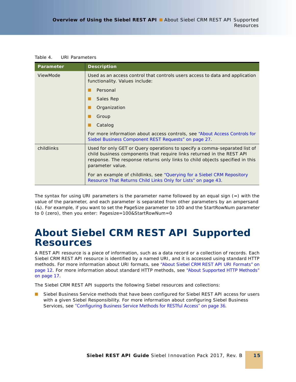#### Table 4. URI Parameters

| Parameter  | Description                                                                                                                                                                                                                                             |
|------------|---------------------------------------------------------------------------------------------------------------------------------------------------------------------------------------------------------------------------------------------------------|
| ViewMode   | Used as an access control that controls users access to data and application<br>functionality. Values include:                                                                                                                                          |
|            | Personal                                                                                                                                                                                                                                                |
|            | Sales Rep                                                                                                                                                                                                                                               |
|            | Organization                                                                                                                                                                                                                                            |
|            | Group                                                                                                                                                                                                                                                   |
|            | Catalog                                                                                                                                                                                                                                                 |
|            | For more information about access controls, see "About Access Controls for<br>Siebel Business Component REST Requests" on page 27.                                                                                                                      |
| childlinks | Used for only GET or Query operations to specify a comma-separated list of<br>child business components that require links returned in the REST API<br>response. The response returns only links to child objects specified in this<br>parameter value. |
|            | For an example of childlinks, see "Querying for a Siebel CRM Repository<br>Resource That Returns Child Links Only for Lists" on page 43.                                                                                                                |

The syntax for using URI parameters is the parameter name followed by an equal sign (=) with the value of the parameter, and each parameter is separated from other parameters by an ampersand (&). For example, if you want to set the PageSize parameter to 100 and the StartRowNum parameter to 0 (zero), then you enter: Pagesize=100&StartRowNum=0

## <span id="page-14-0"></span>**About Siebel CRM REST API Supported Resources**

A REST API resource is a piece of information, such as a data record or a collection of records. Each Siebel CRM REST API resource is identified by a named URI, and it is accessed using standard HTTP methods. For more information about URI formats, see ["About Siebel CRM REST API URI Formats" on](#page-11-1)  [page 12.](#page-11-1) For more information about standard HTTP methods, see ["About Supported HTTP Methods"](#page-16-0)  [on page 17.](#page-16-0)

The Siebel CRM REST API supports the following Siebel resources and collections:

Siebel Business Service methods that have been configured for Siebel REST API access for users with a given Siebel Responsibility. For more information about configuring Siebel Business Services, see ["Configuring Business Service Methods for RESTful Access" on page 36](#page-35-1).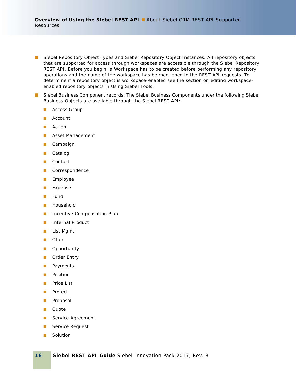- Siebel Repository Object Types and Siebel Repository Object Instances. All repository objects that are supported for access through workspaces are accessible through the Siebel Repository REST API. Before you begin, a Workspace has to be created before performing any repository operations and the name of the workspace has be mentioned in the REST API requests. To determine if a repository object is workspace-enabled see the section on editing workspaceenabled repository objects in *Using Siebel Tools*.
- Siebel Business Component records. The Siebel Business Components under the following Siebel Business Objects are available through the Siebel REST API:
	- Access Group
	- Account
	- Action
	- Asset Management
	- Campaign
	- Catalog
	- Contact
	- Correspondence
	- Employee
	- Expense
	- Fund
	- Household
	- Incentive Compensation Plan
	- Internal Product
	- List Mgmt
	- Offer
	- Opportunity
	- Order Entry
	- Payments
	- Position
	- Price List
	- Project
	- Proposal
	- Quote
	- Service Agreement
	- Service Request
	- Solution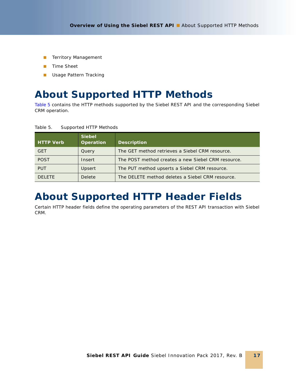- Territory Management
- Time Sheet
- Usage Pattern Tracking

# <span id="page-16-0"></span>**About Supported HTTP Methods**

[Table 5](#page-16-2) contains the HTTP methods supported by the Siebel REST API and the corresponding Siebel CRM operation.

| <b>HTTP Verb</b> | Siebel<br>Operation | <b>Description</b>                                 |
|------------------|---------------------|----------------------------------------------------|
| <b>GET</b>       | Query               | The GET method retrieves a Siebel CRM resource.    |
| <b>POST</b>      | Insert              | The POST method creates a new Siebel CRM resource. |
| <b>PUT</b>       | Upsert              | The PUT method upserts a Siebel CRM resource.      |
| <b>DELETE</b>    | Delete              | The DELETE method deletes a Siebel CRM resource.   |

<span id="page-16-2"></span>Table 5. Supported HTTP Methods

# <span id="page-16-1"></span>**About Supported HTTP Header Fields**

Certain HTTP header fields define the operating parameters of the REST API transaction with Siebel CRM.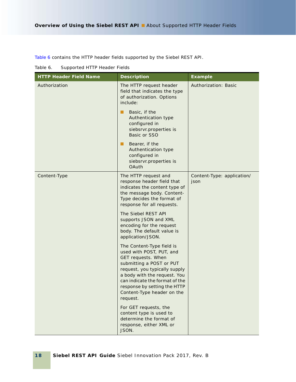[Table 6](#page-17-0) contains the HTTP header fields supported by the Siebel REST API.

<span id="page-17-0"></span>Table 6. Supported HTTP Header Fields

| <b>HTTP Header Field Name</b> | Description                                                                                                                                                                                                                                                                          | Example                            |
|-------------------------------|--------------------------------------------------------------------------------------------------------------------------------------------------------------------------------------------------------------------------------------------------------------------------------------|------------------------------------|
| Authorization                 | The HTTP request header<br>field that indicates the type<br>of authorization. Options<br>include:                                                                                                                                                                                    | Authorization: Basic               |
|                               | Basic, if the<br>. .<br>Authentication type<br>configured in<br>siebsrvr.properties is<br>Basic or SSO                                                                                                                                                                               |                                    |
|                               | Bearer, if the<br>Authentication type<br>configured in<br>siebsrvr.properties is<br>OAuth                                                                                                                                                                                            |                                    |
| Content-Type                  | The HTTP request and<br>response header field that<br>indicates the content type of<br>the message body. Content-<br>Type decides the format of<br>response for all requests.                                                                                                        | Content-Type: application/<br>json |
|                               | The Siebel REST API<br>supports JSON and XML<br>encoding for the request<br>body. The default value is<br>application/JSON.                                                                                                                                                          |                                    |
|                               | The Content-Type field is<br>used with POST, PUT, and<br>GET requests. When<br>submitting a POST or PUT<br>request, you typically supply<br>a body with the request. You<br>can indicate the format of the<br>response by setting the HTTP<br>Content-Type header on the<br>request. |                                    |
|                               | For GET requests, the<br>content type is used to<br>determine the format of<br>response, either XML or<br>JSON.                                                                                                                                                                      |                                    |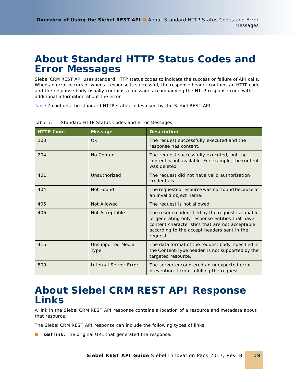## <span id="page-18-0"></span>**About Standard HTTP Status Codes and Error Messages**

Siebel CRM REST API uses standard HTTP status codes to indicate the success or failure of API calls. When an error occurs or when a response is successful, the response header contains an HTTP code and the response body usually contains a message accompanying the HTTP response code with additional information about the error.

[Table 7](#page-18-2) contains the standard HTTP status codes used by the Siebel REST API.

| <b>HTTP Code</b> | Message                                 | <b>Description</b>                                                                                                                                                                                                |
|------------------|-----------------------------------------|-------------------------------------------------------------------------------------------------------------------------------------------------------------------------------------------------------------------|
| 200              | OK                                      | The request successfully executed and the<br>response has content.                                                                                                                                                |
| 204              | No Content                              | The request successfully executed, but the<br>content is not available. For example, the content<br>was deleted.                                                                                                  |
| 401              | Unauthorized                            | The request did not have valid authorization<br>credentials.                                                                                                                                                      |
| 404              | Not Found                               | The requested resource was not found because of<br>an invalid object name.                                                                                                                                        |
| 405              | Not Allowed                             | The request is not allowed.                                                                                                                                                                                       |
| 406              | Not Acceptable                          | The resource identified by the request is capable<br>of generating only response entities that have<br>content characteristics that are not acceptable<br>according to the accept headers sent in the<br>request. |
| 415              | <b>Unsupported Media</b><br><b>Type</b> | The data format of the request body, specified in<br>the Content-Type header, is not supported by the<br>targeted resource.                                                                                       |
| 500              | <b>Internal Server Error</b>            | The server encountered an unexpected error,<br>preventing it from fulfilling the request.                                                                                                                         |

<span id="page-18-2"></span>Table 7. Standard HTTP Status Codes and Error Messages

### <span id="page-18-1"></span>**About Siebel CRM REST API Response Links**

A link in the Siebel CRM REST API response contains a location of a resource and metadata about that resource.

The Siebel CRM REST API response can include the following types of links:

■ **self link**. The original URL that generated the response.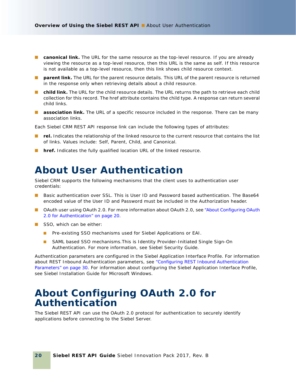- **canonical link**. The URL for the same resource as the top-level resource. If you are already viewing the resource as a top-level resource, then this URL is the same as self. If this resource is not available as a top-level resource, then this link shows child resource context.
- **parent link**. The URL for the parent resource details. This URL of the parent resource is returned in the response only when retrieving details about a child resource.
- **child link**. The URL for the child resource details. The URL returns the path to retrieve each child collection for this record. The href attribute contains the child type. A response can return several child links.
- **association link**. The URL of a specific resource included in the response. There can be many association links.

Each Siebel CRM REST API response link can include the following types of attributes:

- **rel.** Indicates the relationship of the linked resource to the current resource that contains the list of links. Values include: Self, Parent, Child, and Canonical.
- **href.** Indicates the fully qualified location URL of the linked resource.

### <span id="page-19-0"></span>**About User Authentication**

Siebel CRM supports the following mechanisms that the client uses to authentication user credentials:

- Basic authentication over SSL. This is User ID and Password based authentication. The Base64 encoded value of the User ID and Password must be included in the Authorization header.
- OAuth user using OAuth 2.0. For more information about OAuth 2.0, see "About Configuring OAuth [2.0 for Authentication" on page 20.](#page-19-1)
- SSO, which can be either:
	- Pre-existing SSO mechanisms used for Siebel Applications or EAI.
	- SAML based SSO mechanisms. This is Identity Provider-Initiated Single Sign-On Authentication. For more information, see *Siebel Security Guide*.

Authentication parameters are configured in the Siebel Application Interface Profile. For information about REST Inbound Authentication parameters, see ["Configuring REST Inbound Authentication](#page-29-2)  [Parameters" on page 30](#page-29-2). For information about configuring the Siebel Application Interface Profile, see *Siebel Installation Guide for Microsoft Windows.*

### <span id="page-19-1"></span>**About Configuring OAuth 2.0 for Authentication**

The Siebel REST API can use the OAuth 2.0 protocol for authentication to securely identify applications before connecting to the Siebel Server.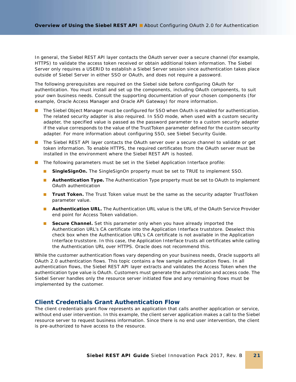In general, the Siebel REST API layer contacts the OAuth server over a secure channel (for example, HTTPS) to validate the access token received or obtain additional token information. The Siebel Server only requires a USERID to establish a Siebel Server session since authentication takes place outside of Siebel Server in either SSO or OAuth, and does not require a password.

The following prerequisites are required on the Siebel side before configuring OAuth for authentication. You must install and set up the components, including OAuth components, to suit your own business needs. Consult the supporting documentation of your chosen components (for example, Oracle Access Manager and Oracle API Gateway) for more information.

- The Siebel Object Manager must be configured for SSO when OAuth is enabled for authentication. The related security adapter is also required. In SSO mode, when used with a custom security adapter, the specified value is passed as the password parameter to a custom security adapter if the value corresponds to the value of the TrustToken parameter defined for the custom security adapter. For more information about configuring SSO, see *Siebel Security Guide*.
- The Siebel REST API layer contacts the OAuth server over a secure channel to validate or get token information. To enable HTTPS, the required certificates from the OAuth server must be installed in the environment where the Siebel REST API is hosted.
- The following parameters must be set in the Siebel Application Interface profile:
	- **SingleSignOn**. The SingleSignOn property must be set to TRUE to implement SSO.
	- **Authentication Type.** The Authentication Type property must be set to OAuth to implement OAuth authentication
	- **Trust Token.** The Trust Token value must be the same as the security adapter TrustToken parameter value.
	- **Authentication URL**. The Authentication URL value is the URL of the OAuth Service Provider end point for Access Token validation.
	- **Secure Channel.** Set this parameter only when you have already imported the Authentication URL's CA certificate into the Application Interface truststore. Deselect this check box when the Authentication URL's CA certificate is not available in the Application Interface truststore. In this case, the Application Interface trusts all certificates while calling the Authentication URL over HTTPS. Oracle does not recommend this.

While the customer authentication flows vary depending on your business needs, Oracle supports all OAuth 2.0 authentication flows. This topic contains a few sample authentication flows. In all authentication flows, the Siebel REST API layer extracts and validates the Access Token when the authentication type value is OAuth. Customers must generate the authorization and access code. The Siebel Server handles only the resource server initiated flow and any remaining flows must be implemented by the customer.

#### **Client Credentials Grant Authentication Flow**

The client credentials grant flow represents an application that calls another application or service, without end user intervention. In this example, the client server application makes a call to the Siebel resource server to request business information. Since there is no end user intervention, the client is pre-authorized to have access to the resource.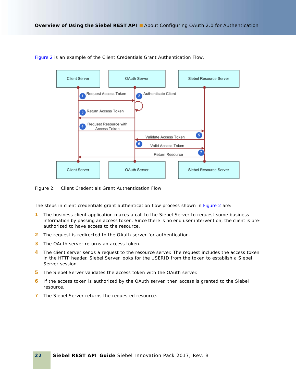

[Figure 2](#page-21-0) is an example of the Client Credentials Grant Authentication Flow.

<span id="page-21-0"></span>Figure 2. Client Credentials Grant Authentication Flow

The steps in client credentials grant authentication flow process shown in [Figure 2](#page-21-0) are:

- **1** The business client application makes a call to the Siebel Server to request some business information by passing an access token. Since there is no end user intervention, the client is preauthorized to have access to the resource.
- **2** The request is redirected to the OAuth server for authentication.
- **3** The OAuth server returns an access token.
- **4** The client server sends a request to the resource server. The request includes the access token in the HTTP header. Siebel Server looks for the USERID from the token to establish a Siebel Server session.
- **5** The Siebel Server validates the access token with the OAuth server.
- **6** If the access token is authorized by the OAuth server, then access is granted to the Siebel resource.
- **7** The Siebel Server returns the requested resource.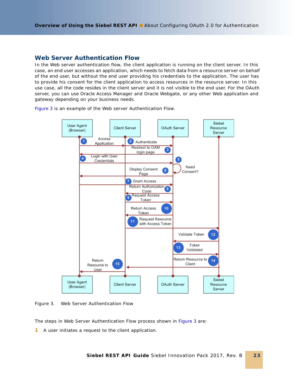#### **Web Server Authentication Flow**

In the Web server authentication flow, the client application is running on the client server. In this case, an end user accesses an application, which needs to fetch data from a resource server on behalf of the end user, but without the end user providing his credentials to the application. The user has to provide his consent for the client application to access resources in the resource server. In this use case, all the code resides in the client server and it is not visible to the end user. For the OAuth server, you can use Oracle Access Manager and Oracle Webgate, or any other Web application and gateway depending on your business needs.

[Figure 3](#page-22-0) is an example of the Web server Authentication Flow.



<span id="page-22-0"></span>Figure 3. Web Server Authentication Flow

The steps in Web Server Authentication Flow process shown in [Figure 3](#page-22-0) are:

**1** A user initiates a request to the client application.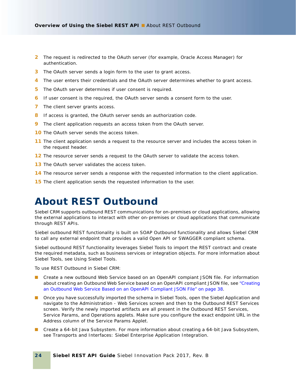- **2** The request is redirected to the OAuth server (for example, Oracle Access Manager) for authentication.
- **3** The OAuth server sends a login form to the user to grant access.
- **4** The user enters their credentials and the OAuth server determines whether to grant access.
- **5** The OAuth server determines if user consent is required.
- **6** If user consent is the required, the OAuth server sends a consent form to the user.
- **7** The client server grants access.
- **8** If access is granted, the OAuth server sends an authorization code.
- **9** The client application requests an access token from the OAuth server.
- **10** The OAuth server sends the access token.
- **11** The client application sends a request to the resource server and includes the access token in the request header.
- **12** The resource server sends a request to the OAuth server to validate the access token.
- **13** The OAuth server validates the access token.
- **14** The resource server sends a response with the requested information to the client application.
- **15** The client application sends the requested information to the user.

### <span id="page-23-1"></span><span id="page-23-0"></span>**About REST Outbound**

Siebel CRM supports outbound REST communications for on-premises or cloud applications, allowing the external applications to interact with other on-premises or cloud applications that communicate through REST APIs.

Siebel outbound REST functionality is built on SOAP Outbound functionality and allows Siebel CRM to call any external endpoint that provides a valid Open API or SWAGGER compliant schema.

Siebel outbound REST functionality leverages Siebel Tools to import the REST contract and create the required metadata, such as business services or integration objects. For more information about Siebel Tools, see *Using Siebel Tools*.

To use REST Outbound in Siebel CRM:

- Create a new outbound Web Service based on an OpenAPI compiant JSON file. For information about creating an Outbound Web Service based on an OpenAPI compliant JSON file, see ["Creating](#page-37-2)  [an Outbound Web Service Based on an OpenAPI Compliant JSON File" on page 38](#page-37-2).
- Once you have successfully imported the schema in Siebel Tools, open the Siebel Application and navigate to the Administration - Web Services screen and then to the Outbound REST Services screen. Verify the newly imported artifacts are all present in the Outbound REST Services, Service Params, and Operations applets. Make sure you configure the exact endpoint URL in the Address column of the Service Params Applet.
- Create a 64-bit Java Subsystem. For more information about creating a 64-bit Java Subsystem, see *Transports and Interfaces: Siebel Enterprise Application Integration*.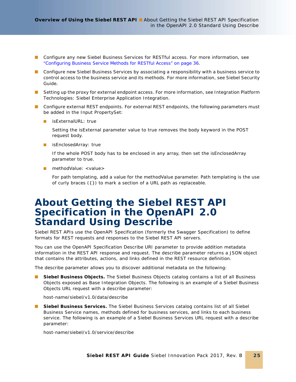- Configure any new Siebel Business Services for RESTful access. For more information, see ["Configuring Business Service Methods for RESTful Access" on page 36](#page-35-1).
- Configure new Siebel Business Services by associating a responsibility with a business service to control access to the business service and its methods. For more information, see *Siebel Security Guide*.
- Setting up the proxy for external endpoint access. For more information, see *Integration Platform Technologies: Siebel Enterprise Application Integration*.
- Configure external REST endpoints. For external REST endpoints, the following parameters must be added in the Input PropertySet:
	- isExternalURL: true

Setting the isExternal parameter value to true removes the body keyword in the POST request body.

■ isEnclosedArray: true

If the whole POST body has to be enclosed in any array, then set the isEnclosedArray parameter to true.

■ methodValue: <value>

For path templating, add a value for the methodValue parameter. Path templating is the use of curly braces ({}) to mark a section of a URL path as replaceable.

### <span id="page-24-1"></span><span id="page-24-0"></span>**About Getting the Siebel REST API Specification in the OpenAPI 2.0 Standard Using Describe**

Siebel REST APIs use the OpenAPI Specification (formerly the Swagger Specification) to define formats for REST requests and responses to the Siebel REST API servers.

You can use the OpenAPI Specification Describe URI parameter to provide addition metadata information in the REST API response and request. The describe parameter returns a JSON object that contains the attributes, actions, and links defined in the REST resource definition.

The describe parameter allows you to discover additional metadata on the following:

**Siebel Business Objects.** The Siebel Business Objects catalog contains a list of all Business Objects exposed as Base Integration Objects. The following is an example of a Siebel Business Objects URL request with a describe parameter:

host-name/siebel/v1.0/data/describe

■ **Siebel Business Services**. The Siebel Business Services catalog contains list of all Siebel Business Service names, methods defined for business services, and links to each business service. The following is an example of a Siebel Business Services URL request with a describe parameter:

host-name/siebel/v1.0/service/describe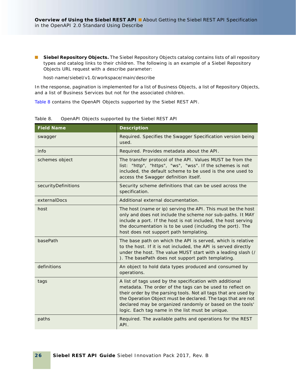■ **Siebel Repository Objects**. The Siebel Repository Objects catalog contains lists of all repository types and catalog links to their children. The following is an example of a Siebel Repository Objects URL request with a describe parameter:

host-name/siebel/v1.0/workspace/main/describe

In the response, pagination is implemented for a list of Business Objects, a list of Repository Objects, and a list of Business Services but not for the associated children.

[Table 8](#page-25-0) contains the OpenAPI Objects supported by the Siebel REST API.

| <b>Field Name</b>   | Description                                                                                                                                                                                                                                                                                                                                                               |
|---------------------|---------------------------------------------------------------------------------------------------------------------------------------------------------------------------------------------------------------------------------------------------------------------------------------------------------------------------------------------------------------------------|
| swagger             | Required. Specifies the Swagger Specification version being<br>used.                                                                                                                                                                                                                                                                                                      |
| info                | Required. Provides metadata about the API.                                                                                                                                                                                                                                                                                                                                |
| schemes object      | The transfer protocol of the API. Values MUST be from the<br>list: "http", "https", "ws", "wss". If the schemes is not<br>included, the default scheme to be used is the one used to<br>access the Swagger definition itself.                                                                                                                                             |
| securityDefinitions | Security scheme definitions that can be used across the<br>specification.                                                                                                                                                                                                                                                                                                 |
| externalDocs        | Additional external documentation.                                                                                                                                                                                                                                                                                                                                        |
| host                | The host (name or ip) serving the API. This must be the host<br>only and does not include the scheme nor sub-paths. It MAY<br>include a port. If the host is not included, the host serving<br>the documentation is to be used (including the port). The<br>host does not support path templating.                                                                        |
| basePath            | The base path on which the API is served, which is relative<br>to the host. If it is not included, the API is served directly<br>under the host. The value MUST start with a leading slash (/<br>). The basePath does not support path templating.                                                                                                                        |
| definitions         | An object to hold data types produced and consumed by<br>operations.                                                                                                                                                                                                                                                                                                      |
| tags                | A list of tags used by the specification with additional<br>metadata. The order of the tags can be used to reflect on<br>their order by the parsing tools. Not all tags that are used by<br>the Operation Object must be declared. The tags that are not<br>declared may be organized randomly or based on the tools'<br>logic. Each tag name in the list must be unique. |
| paths               | Required. The available paths and operations for the REST<br>API.                                                                                                                                                                                                                                                                                                         |

<span id="page-25-0"></span>Table 8. OpenAPI Objects supported by the Siebel REST API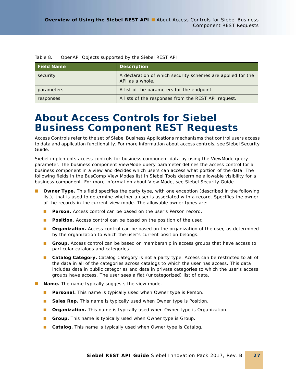| <b>Field Name</b> | <b>Description</b>                                                             |
|-------------------|--------------------------------------------------------------------------------|
| security          | A declaration of which security schemes are applied for the<br>API as a whole. |
| parameters        | A list of the parameters for the endpoint.                                     |
| responses         | A lists of the responses from the REST API request.                            |

| Table 8. |  | OpenAPI Objects supported by the Siebel REST API |  |  |
|----------|--|--------------------------------------------------|--|--|
|          |  |                                                  |  |  |

## <span id="page-26-1"></span><span id="page-26-0"></span>**About Access Controls for Siebel Business Component REST Requests**

*Access Controls* refer to the set of Siebel Business Applications mechanisms that control users access to data and application functionality. For more information about access controls, see *Siebel Security Guide*.

Siebel implements access controls for business component data by using the ViewMode query parameter. The business component ViewMode query parameter defines the access control for a business component in a view and decides which users can access what portion of the data. The following fields in the BusComp View Modes list in Siebel Tools determine allowable visibility for a business component. For more information about View Mode, see *Siebel Security Guide*.

- Owner Type. This field specifies the party type, with one exception (described in the following list), that is used to determine whether a user is associated with a record. Specifies the owner of the records in the current view mode. The allowable owner types are:
	- **Person.** Access control can be based on the user's Person record.
	- Position. Access control can be based on the position of the user.
	- **Organization**. Access control can be based on the organization of the user, as determined by the organization to which the user's current position belongs.
	- **Group**. Access control can be based on membership in access groups that have access to particular catalogs and categories.
	- **Catalog Category.** Catalog Category is not a party type. Access can be restricted to all of the data in all of the categories across catalogs to which the user has access. This data includes data in public categories and data in private categories to which the user's access groups have access. The user sees a flat (uncategorized) list of data.
- **Name**. The name typically suggests the view mode.
	- **Personal.** This name is typically used when Owner type is Person.
	- Sales Rep. This name is typically used when Owner type is Position.
	- **Organization.** This name is typically used when Owner type is Organization.
	- **Group**. This name is typically used when Owner type is Group.
	- **Catalog.** This name is typically used when Owner type is Catalog.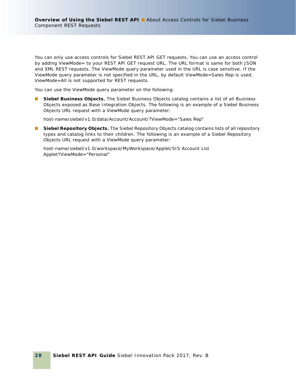You can only use access controls for Siebel REST API GET requests. You can use an access control by adding ViewMode= to your REST API GET request URL. The URL format is same for both JSON and XML REST requests. The ViewMode query parameter used in the URL is case sensitive. If the ViewMode query parameter is not specified in the URL, by default ViewMode=Sales Rep is used. ViewMode=All is not supported for REST requests.

You can use the ViewMode query parameter on the following:

■ **Siebel Business Objects**. The Siebel Business Objects catalog contains a list of all Business Objects exposed as Base Integration Objects. The following is an example of a Siebel Business Objects URL request with a ViewMode query parameter:

host-name/siebel/v1.0/data/Account/Account/?ViewMode="Sales Rep"

■ **Siebel Repository Objects**. The Siebel Repository Objects catalog contains lists of all repository types and catalog links to their children. The following is an example of a Siebel Repository Objects URL request with a ViewMode query parameter:

host-name/siebel/v1.0/workspace/MyWorkspace/Applet/SIS Account List Applet?ViewMode="Personal"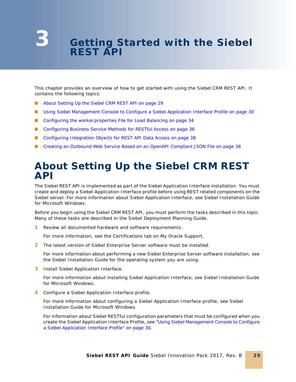# <span id="page-28-0"></span>**3 Getting Started with the Siebel REST API**

This chapter provides an overview of how to get started with using the Siebel CRM REST API. It contains the following topics:

- [About Setting Up the Siebel CRM REST API on page 29](#page-28-1)
- [Using Siebel Management Console to Configure a Siebel Application Interface Profile on page 30](#page-29-0)
- [Configuring the worker.properties File for Load Balancing on page 34](#page-33-0)
- [Configuring Business Service Methods for RESTful Access on page 36](#page-35-0)
- [Configuring Integration Objects for REST API Data Access on page 38](#page-37-0)
- [Creating an Outbound Web Service Based on an OpenAPI Compliant JSON File on page 38](#page-37-1)

## <span id="page-28-1"></span>**About Setting Up the Siebel CRM REST API**

The Siebel REST API is implemented as part of the Siebel Application Interface installation. You must create and deploy a Siebel Application Interface profile before using REST related components on the Siebel server. For more information about Siebel Application Interface, see *Siebel Installation Guide for Microsoft Windows*.

Before you begin using the Siebel CRM REST API, you must perform the tasks described in this topic. Many of these tasks are described in the *Siebel Deployment Planning Guide*.

**1** Review all documented hardware and software requirements.

For more information, see the Certifications tab on My Oracle Support.

**2** The latest version of Siebel Enterprise Server software must be installed.

For more information about performing a new Siebel Enterprise Server software installation, see the *Siebel Installation Guide* for the operating system you are using.

**3** Install Siebel Application Interface.

For more information about installing Siebel Application Interface, see *Siebel Installation Guide for Microsoft Windows*.

**4** Configure a Siebel Application Interface profile.

For more information about configuring a Siebel Application Interface profile, see *Siebel Installation Guide for Microsoft Windows*.

For information about Siebel RESTful configuration parameters that must be configured when you create the Siebel Application Interface Profile, see ["Using Siebel Management Console to Configure](#page-29-0)  [a Siebel Application Interface Profile" on page 30.](#page-29-0)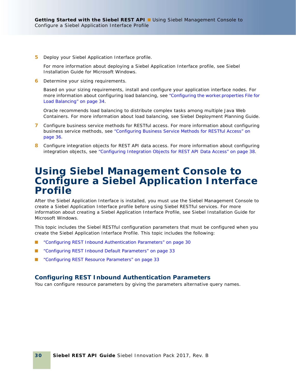**5** Deploy your Siebel Application Interface profile.

For more information about deploying a Siebel Application Interface profile, see *Siebel Installation Guide for Microsoft Windows*.

**6** Determine your sizing requirements.

Based on your sizing requirements, install and configure your application interface nodes. For more information about configuring load balancing, see ["Configuring the worker.properties File for](#page-33-0)  [Load Balancing" on page 34](#page-33-0).

Oracle recommends load balancing to distribute complex tasks among multiple Java Web Containers. For more information about load balancing, see *Siebel Deployment Planning Guide*.

- **7** Configure business service methods for RESTful access. For more information about configuring business service methods, see ["Configuring Business Service Methods for RESTful Access" on](#page-35-0)  [page 36.](#page-35-0)
- 8 Configure integration objects for REST API data access. For more information about configuring integration objects, see ["Configuring Integration Objects for REST API Data Access" on page 38](#page-37-0).

### <span id="page-29-1"></span><span id="page-29-0"></span>**Using Siebel Management Console to Configure a Siebel Application Interface Profile**

After the Siebel Application Interface is installed, you must use the Siebel Management Console to create a Siebel Application Interface profile before using Siebel RESTful services. For more information about creating a Siebel Application Interface Profile, see *Siebel Installation Guide for Microsoft Windows.*

This topic includes the Siebel RESTful configuration parameters that must be configured when you create the Siebel Application Interface Profile. This topic includes the following:

- ["Configuring REST Inbound Authentication Parameters" on page 30](#page-29-3)
- ["Configuring REST Inbound Default Parameters" on page 33](#page-32-0)
- ["Configuring REST Resource Parameters" on page 33](#page-32-1)

#### <span id="page-29-3"></span><span id="page-29-2"></span>**Configuring REST Inbound Authentication Parameters**

You can configure resource parameters by giving the parameters alternative query names.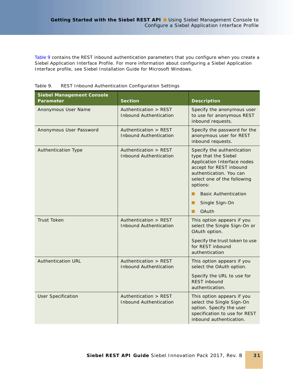[Table 9](#page-30-0) contains the REST inbound authentication parameters that you configure when you create a Siebel Application Interface Profile. For more information about configuring a Siebel Application Interface profile, see *Siebel Installation Guide for Microsoft Windows.*

| <b>Siebel Management Console</b><br>Parameter | <b>Section</b>                                         | <b>Description</b>                                                                                                                                                                                                                                     |
|-----------------------------------------------|--------------------------------------------------------|--------------------------------------------------------------------------------------------------------------------------------------------------------------------------------------------------------------------------------------------------------|
| Anonymous User Name                           | Authentication > REST<br><b>Inbound Authentication</b> | Specify the anonymous user<br>to use for anonymous REST<br>inbound requests.                                                                                                                                                                           |
| Anonymous User Password                       | Authentication > REST<br><b>Inbound Authentication</b> | Specify the password for the<br>anonymous user for REST<br>inbound requests.                                                                                                                                                                           |
| Authentication Type                           | Authentication > REST<br><b>Inbound Authentication</b> | Specify the authentication<br>type that the Siebel<br>Application Interface nodes<br>accept for REST inbound<br>authentication. You can<br>select one of the following<br>options:<br><b>Basic Authentication</b><br>Single Sign-On<br>п<br>OAuth<br>п |
| Trust Token                                   | Authentication > REST<br><b>Inbound Authentication</b> | This option appears if you<br>select the Single Sign-On or<br>OAuth option.                                                                                                                                                                            |
|                                               |                                                        | Specify the trust token to use<br>for REST inbound<br>authentication                                                                                                                                                                                   |
| <b>Authentication URL</b>                     | Authentication > REST<br><b>Inbound Authentication</b> | This option appears if you<br>select the OAuth option.                                                                                                                                                                                                 |
|                                               |                                                        | Specify the URL to use for<br><b>REST inbound</b><br>authentication.                                                                                                                                                                                   |
| <b>User Specification</b>                     | Authentication > REST<br><b>Inbound Authentication</b> | This option appears if you<br>select the Single Sign-On<br>option. Specify the user<br>specification to use for REST<br>inbound authentication.                                                                                                        |

<span id="page-30-0"></span>

| Table 9. |  | REST Inbound Authentication Configuration Settings |  |
|----------|--|----------------------------------------------------|--|
|          |  |                                                    |  |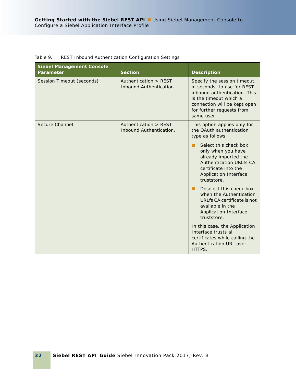| <b>Siebel Management Console</b><br>Parameter | <b>Section</b>                                         | <b>Description</b>                                                                                                                                                                               |
|-----------------------------------------------|--------------------------------------------------------|--------------------------------------------------------------------------------------------------------------------------------------------------------------------------------------------------|
| Session Timeout (seconds)                     | Authentication > REST<br><b>Inbound Authentication</b> | Specify the session timeout,<br>in seconds, to use for REST<br>inbound authentication. This<br>is the timeout which a<br>connection will be kept open<br>for further requests from<br>same user. |
| Secure Channel                                | Authentication > REST<br>Inbound Authentication.       | This option applies only for<br>the OAuth authentication<br>type as follows:                                                                                                                     |
|                                               |                                                        | Select this check box<br>only when you have<br>already imported the<br><b>Authentication URLfs CA</b><br>certificate into the<br><b>Application Interface</b><br>truststore.                     |
|                                               |                                                        | Deselect this check box<br>when the Authentication<br>URLfs CA certificate is not<br>available in the<br>Application Interface<br>truststore.                                                    |
|                                               |                                                        | In this case, the Application<br>Interface trusts all<br>certificates while calling the<br>Authentication URL over<br>HTTPS.                                                                     |

#### Table 9. REST Inbound Authentication Configuration Settings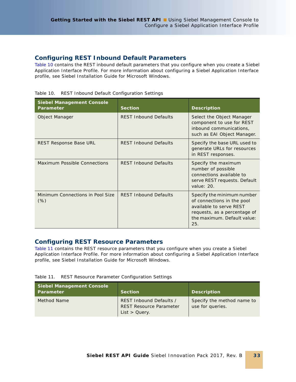#### <span id="page-32-0"></span>**Configuring REST Inbound Default Parameters**

[Table 10](#page-32-2) contains the REST inbound default parameters that you configure when you create a Siebel Application Interface Profile. For more information about configuring a Siebel Application Interface profile, see *Siebel Installation Guide for Microsoft Windows.*

| Siebel Management Console<br>Parameter      | <b>Section</b>               | Description                                                                                                                                               |
|---------------------------------------------|------------------------------|-----------------------------------------------------------------------------------------------------------------------------------------------------------|
| Object Manager                              | <b>REST Inbound Defaults</b> | Select the Object Manager<br>component to use for REST<br>inbound communications,<br>such as EAI Object Manager.                                          |
| REST Response Base URL                      | <b>REST Inbound Defaults</b> | Specify the base URL used to<br>generate URLs for resources<br>in REST responses.                                                                         |
| Maximum Possible Connections                | <b>REST Inbound Defaults</b> | Specify the maximum<br>number of possible<br>connections available to<br>serve REST requests. Default<br>value: 20.                                       |
| Minimum Connections in Pool Size<br>$(\% )$ | <b>REST Inbound Defaults</b> | Specify the minimum number<br>of connections in the pool<br>available to serve REST<br>requests, as a percentage of<br>the maximum. Default value:<br>25. |

#### <span id="page-32-2"></span>Table 10. REST Inbound Default Configuration Settings

#### <span id="page-32-1"></span>**Configuring REST Resource Parameters**

[Table 11](#page-32-3) contains the REST resource parameters that you configure when you create a Siebel Application Interface Profile. For more information about configuring a Siebel Application Interface profile, see *Siebel Installation Guide for Microsoft Windows.*

#### <span id="page-32-3"></span>Table 11. REST Resource Parameter Configuration Settings

| Siebel Management Console<br>Parameter | Section                                                                    | <b>Description</b>                             |
|----------------------------------------|----------------------------------------------------------------------------|------------------------------------------------|
| Method Name                            | REST Inbound Defaults /<br><b>REST Resource Parameter</b><br>List > Query. | Specify the method name to<br>use for queries. |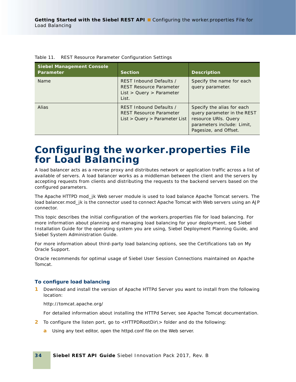| Siebel Management Console<br>Parameter | <b>Section</b>                                                                                 | <b>Description</b>                                                                                                                       |
|----------------------------------------|------------------------------------------------------------------------------------------------|------------------------------------------------------------------------------------------------------------------------------------------|
| <b>Name</b>                            | REST Inbound Defaults /<br><b>REST Resource Parameter</b><br>List > Query > Parameter<br>List. | Specify the name for each<br>query parameter.                                                                                            |
| <b>Alias</b>                           | REST Inbound Defaults /<br><b>REST Resource Parameter</b><br>List > Query > Parameter List     | Specify the alias for each<br>query parameter in the REST<br>resource URIs. Query<br>parameters include: Limit,<br>Pagesize, and Offset. |

| Table 11. REST Resource Parameter Configuration Settings |  |  |
|----------------------------------------------------------|--|--|
|                                                          |  |  |

### <span id="page-33-0"></span>**Configuring the worker.properties File for Load Balancing**

A load balancer acts as a reverse proxy and distributes network or application traffic across a list of available of servers. A load balancer works as a middleman between the client and the servers by accepting requests from clients and distributing the requests to the backend servers based on the configured parameters.

The Apache HTTPD mod\_jk Web server module is used to load balance Apache Tomcat servers. The load balancer.mod jk is the connector used to connect Apache Tomcat with Web servers using an AJP connector.

This topic describes the initial configuration of the workers.properties file for load balancing. For more information about planning and managing load balancing for your deployment, see *Siebel Installation Guide* for the operating system you are using, *Siebel Deployment Planning Guide*, and *Siebel System Administration Guide*.

For more information about third-party load balancing options, see the Certifications tab on My Oracle Support.

Oracle recommends for optimal usage of Siebel User Session Connections maintained on Apache Tomcat.

#### *To configure load balancing*

**1** Download and install the version of Apache HTTPd Server you want to install from the following location:

http://tomcat.apache.org/

For detailed information about installing the HTTPd Server, see Apache Tomcat documentation.

- **2** To configure the listen port, go to <HTTPDRootDir\> folder and do the following:
	- **a** Using any text editor, open the httpd.conf file on the Web server.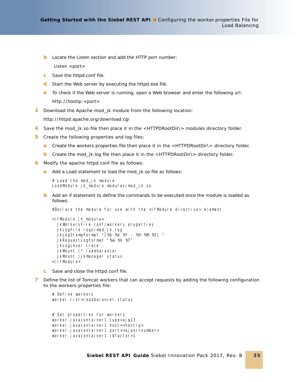- **b** Locate the Listen section and add the HTTP port number: Listen <port>
- **c** Save the httpd.conf file.
- **d** Start the Web server by executing the httpd.exe file.
- **e** To check if the Web server is running, open a Web browser and enter the following url: http://hostip:<port>
- **3** Download the Apache mod\_jk module from the following location:

http://httpd.apache.org/download.cgi

- **4** Save the mod jk.so file then place it in the <HTTPDRootDir\> modules directory folder.
- **5** Create the following properties and log files:
	- **a** Create the workers.properties file then place it in the <HTTPDRootDir\> directory folder.
	- **b** Create the mod ik.log file then place it in the <HTTPDRootDir\> directory folder.
- **6** Modify the apache httpd.conf file as follows:
	- **a** Add a Load statement to load the mod\_jk.so file as follows:

# Load the mod\_jk module LoadModule j k\_module modules/mod\_j k.so

**b** Add an if statement to define the commands to be executed once the module is loaded as follows:

#Declare the module for use with the <IfModule directive> element.

```
<IfModule jk_module>
 JkWorkersFile conf/workers.properties
 JkLogFile logs/mod_jk.log
 JkLogStampFormat "[%b %d %Y - %H:%M:%S] "
 JkRequestLogFormat "%w %V %T"
 JkLogLevel trace
 JkMount /* loadbal ancer
 JkMount /Jkmanager status
</IfModule>
```
- **c** Save and close the httpd.conf file.
- **7** Define the list of Tomcat workers that can accept requests by adding the following configuration to the workers.properties file:

# Define workers worker. I i st=loadbal ancer, status

```
# Set properties for worker1
worker. javacontai ner1. type=aj p13
worker. javacontainer1.host=<hostip>
worker. javacontainer1.port=<ajportnumber>
worker. javacontainer1. I bfactor=1
```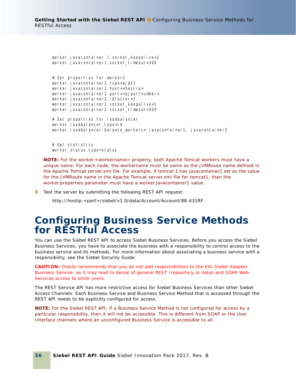worker. javacontainer 1. socket keepalive=1 worker. javacontainer1. socket\_timeout=300

# Set properties for worker2 worker. javacontai ner2. type=aj p13 worker. javacontainer2.host=<hostip> worker. javacontainer2. port=<aj portnumber> worker. javacontainer2. lbfactor=1 worker. javacontainer2. socket\_keepalive=1 worker. javacontainer2. socket timeout=300 # Set properties for loadbalancer worker. I oadbal ancer. type=I b

worker. loadbalancer. balance\_workers= javacontainer1, javacontainer2

# Get statistics worker. status. type=status

**NOTE:** For the worker.<workername> property, both Apache Tomcat workers must have a unique name. For each node, the workername must be same as the JVMRoute name defined in the Apache Tomcat server.xml file. For example, if tomcat 1 has javacontainer1 set as the value for the JVMRoute name in the Apache Tomcat server.xml file for tomcat1, then the worker.properties parameter must have a worker.javacontainer1 value.

**8** Test the server by submitting the following REST API request:

http://hostip:<port>/siebel/v1.0/data/Account/Account/88-431RF

### <span id="page-35-1"></span><span id="page-35-0"></span>**Configuring Business Service Methods for RESTful Access**

You can use the Siebel REST API to access Siebel Business Services. Before you access the Siebel Business Services, you have to associate the business with a responsibility to control access to the business service and its methods. For more information about associating a business service with a responsibility, see the *Siebel Security Guide*.

**CAUTION:** Oracle recommends that you do not add responsibilities to the EAI Siebel Adapter Business Service. as it may lead to denial of general REST (repository or data) and SOAP Web Services access to other users.

The REST Service API has more restrictive access for Siebel Business Services than other Siebel Access Channels. Each Business Service and Business Service Method that is accessed through the REST API needs to be explicitly configured for access.

**NOTE:** For the Siebel REST API, if a Business Service Method is not configured for access by a particular responsibility, then it will not be accessible. This is different from SOAP or the User Interface channels where an unconfigured Business Service is accessible to all.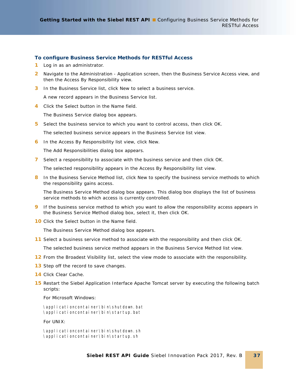#### *To configure Business Service Methods for RESTful Access*

- **1** Log in as an administrator.
- **2** Navigate to the Administration Application screen, then the Business Service Access view, and then the Access By Responsibility view.
- **3** In the Business Service list, click New to select a business service.

A new record appears in the Business Service list.

**4** Click the Select button in the Name field.

The Business Service dialog box appears.

- **5** Select the business service to which you want to control access, then click OK. The selected business service appears in the Business Service list view.
- **6** In the Access By Responsibility list view, click New.

The Add Responsibilities dialog box appears.

**7** Select a responsibility to associate with the business service and then click OK.

The selected responsibility appears in the Access By Responsibility list view.

**8** In the Business Service Method list, click New to specify the business service methods to which the responsibility gains access.

The Business Service Method dialog box appears. This dialog box displays the list of business service methods to which access is currently controlled.

- **9** If the business service method to which you want to allow the responsibility access appears in the Business Service Method dialog box, select it, then click OK.
- **10** Click the Select button in the Name field.

The Business Service Method dialog box appears.

**11** Select a business service method to associate with the responsibility and then click OK.

The selected business service method appears in the Business Service Method list view.

- **12** From the Broadest Visibility list, select the view mode to associate with the responsibility.
- **13** Step off the record to save changes.
- **14** Click Clear Cache.
- **15** Restart the Siebel Application Interface Apache Tomcat server by executing the following batch scripts:

For Microsoft Windows:

\applicationcontainer\bin\shutdown.bat \applicationcontainer\bin\startup.bat

For UNIX:

\applicationcontainer\bin\shutdown.sh \applicationcontainer\bin\startup.sh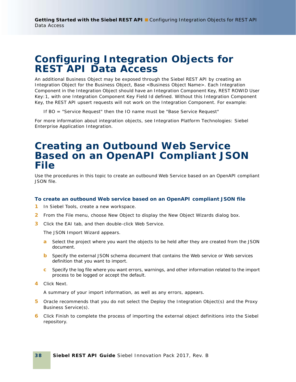# **Configuring Integration Objects for REST API Data Access**

An additional Business Object may be exposed through the Siebel REST API by creating an Integration Object for the Business Object, Base <Business Object Name>. Each Integration Component in the Integration Object should have an Integration Component Key, REST ROWID User Key:1, with one Integration Component Key Field Id defined. Without this Integration Component Key, the REST API upsert requests will not work on the Integration Component. For example:

If BO = "Service Request" then the IO name must be "Base Service Request"

For more information about integration objects, see *Integration Platform Technologies: Siebel Enterprise Application Integration*.

## **Creating an Outbound Web Service Based on an OpenAPI Compliant JSON File**

Use the procedures in this topic to create an outbound Web Service based on an OpenAPI compliant JSON file.

#### *To create an outbound Web service based on an OpenAPI compliant JSON file*

- **1** In Siebel Tools, create a new workspace.
- **2** From the File menu, choose New Object to display the New Object Wizards dialog box.
- **3** Click the EAI tab, and then double-click Web Service.

The JSON Import Wizard appears.

- **a** Select the project where you want the objects to be held after they are created from the JSON document.
- **b** Specify the external JSON schema document that contains the Web service or Web services definition that you want to import.
- **c** Specify the log file where you want errors, warnings, and other information related to the import process to be logged or accept the default.
- **4** Click Next.

A summary of your import information, as well as any errors, appears.

- **5** Oracle recommends that you do not select the Deploy the Integration Object(s) and the Proxy Business Service(s).
- **6** Click Finish to complete the process of importing the external object definitions into the Siebel repository.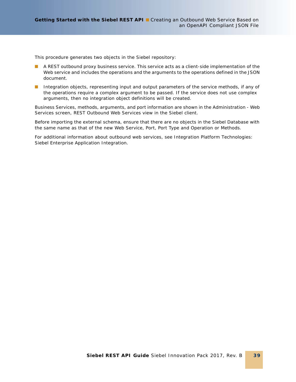This procedure generates two objects in the Siebel repository:

- A REST outbound proxy business service. This service acts as a client-side implementation of the Web service and includes the operations and the arguments to the operations defined in the JSON document.
- Integration objects, representing input and output parameters of the service methods, if any of the operations require a complex argument to be passed. If the service does not use complex arguments, then no integration object definitions will be created.

Business Services, methods, arguments, and port information are shown in the Administration - Web Services screen, REST Outbound Web Services view in the Siebel client.

Before importing the external schema, ensure that there are no objects in the Siebel Database with the same name as that of the new Web Service, Port, Port Type and Operation or Methods.

For additional information about outbound web services, see *Integration Platform Technologies: Siebel Enterprise Application Integration*.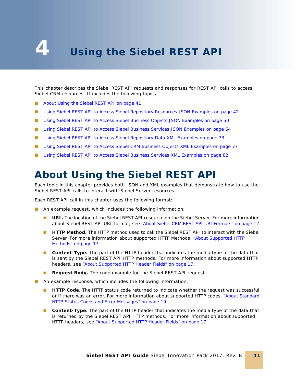# **4 Using the Siebel REST API**

This chapter describes the Siebel REST API requests and responses for REST API calls to access Siebel CRM resources. It includes the following topics.

- [About Using the Siebel REST API on page 41](#page-40-0)
- [Using Siebel REST API to Access Siebel Repository Resources JSON Examples on page 42](#page-41-0)
- [Using Siebel REST API to Access Siebel Business Objects JSON Examples on page 50](#page-49-0)
- [Using Siebel REST API to Access Siebel Business Services JSON Examples on page 64](#page-63-0)
- [Using Siebel REST API to Access Siebel Repository Data XML Examples on page 73](#page-72-0)
- [Using Siebel REST API to Access Siebel CRM Business Objects XML Examples on page 77](#page-76-0)
- [Using Siebel REST API to Access Siebel Business Services XML Examples on page 82](#page-81-0)

## <span id="page-40-0"></span>**About Using the Siebel REST API**

Each topic in this chapter provides both JSON and XML examples that demonstrate how to use the Siebel REST API calls to interact with Siebel Server resources.

Each REST API call in this chapter uses the following format:

- An example request, which includes the following information:
	- URI. The location of the Siebel REST API resource on the Siebel Server. For more information about Siebel REST API URL format, see ["About Siebel CRM REST API URI Formats" on page 12](#page-11-0).
	- **HTTP Method.** The HTTP method used to call the Siebel REST API to interact with the Siebel Server. For more information about supported HTTP Methods, ["About Supported HTTP](#page-16-0)  [Methods" on page 17.](#page-16-0)
	- **Content-Type**. The part of the HTTP header that indicates the media type of the data that is sent by the Siebel REST API HTTP methods. For more information about supported HTTP headers, see ["About Supported HTTP Header Fields" on page 17.](#page-16-1)
	- **Request Body.** The code example for the Siebel REST API request.
- An example response, which includes the following information:
	- **HTTP Code.** The HTTP status code returned to indicate whether the request was successful or if there was an error. For more information about supported HTTP codes, ["About Standard](#page-18-0)  [HTTP Status Codes and Error Messages" on page 19.](#page-18-0)
	- **Content-Type**. The part of the HTTP header that indicates the media type of the data that is returned by the Siebel REST API HTTP methods. For more information about supported HTTP headers, see ["About Supported HTTP Header Fields" on page 17.](#page-16-1)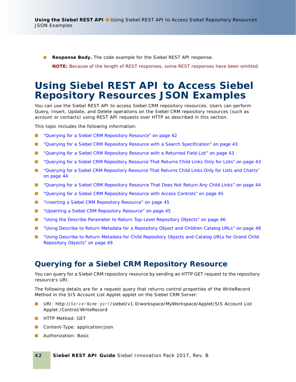■ **Response Body.** The code example for the Siebel REST API response.

**NOTE:** Because of the length of REST responses, some REST responses have been omitted.

# <span id="page-41-0"></span>**Using Siebel REST API to Access Siebel Repository Resources JSON Examples**

You can use the Siebel REST API to access Siebel CRM repository resources. Users can perform Query, Insert, Update, and Delete operations on the Siebel CRM repository resources (such as account or contacts) using REST API requests over HTTP as described in this section.

This topic includes the following information:

- ["Querying for a Siebel CRM Repository Resource" on page 42](#page-41-1)
- ["Querying for a Siebel CRM Repository Resource with a Search Specification" on page 43](#page-42-0)
- ["Querying for a Siebel CRM Repository Resource with a Returned Field List" on page 43](#page-42-1)
- ["Querying for a Siebel CRM Repository Resource That Returns Child Links Only for Lists" on page 43](#page-42-2)
- ["Querying for a Siebel CRM Repository Resource That Returns Child Links Only for Lists and Charts"](#page-43-0)  [on page 44](#page-43-0)
- ["Querying for a Siebel CRM Repository Resource That Does Not Return Any Child Links" on page 44](#page-43-1)
- ["Querying for a Siebel CRM Repository Resource with Access Controls" on page 45](#page-44-2)
- ["Inserting a Siebel CRM Repository Resource" on page 45](#page-44-0)
- ["Upserting a Siebel CRM Repository Resource" on page 45](#page-44-1)
- ["Using the Describe Parameter to Return Top-Level Repository Objects" on page 46](#page-45-0)
- ["Using Describe to Return Metadata for a Repository Object and Children Catalog URLs" on page 48](#page-47-0)
- ["Using Describe to Return Metadata for Child Repository Objects and Catalog URLs for Grand Child](#page-48-0)  [Repository Objects" on page 49](#page-48-0)

#### <span id="page-41-1"></span>**Querying for a Siebel CRM Repository Resource**

You can query for a Siebel CRM repository resource by sending an HTTP GET request to the repository resource's URI.

The following details are for a request query that returns control properties of the WriteRecord Method in the SIS Account List Applet applet on the Siebel CRM Server:

- URI: http://*ServerName:port*/siebel/v1.0/workspace/MyWorkspace/Applet/SIS Account List Applet /Control/WriteRecord
- **B** HTTP Method: GET
- Content-Type: application/json
- Authorization: Basic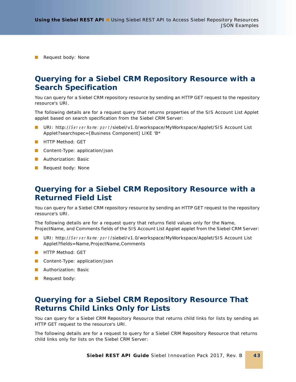■ Request body: None

### <span id="page-42-0"></span>**Querying for a Siebel CRM Repository Resource with a Search Specification**

You can query for a Siebel CRM repository resource by sending an HTTP GET request to the repository resource's URI.

The following details are for a request query that returns properties of the SIS Account List Applet applet based on search specification from the Siebel CRM Server:

- URI: http://ServerName: port/siebel/v1.0/workspace/MyWorkspace/Applet/SIS Account List Applet?searchspec=[Business Component] LIKE 'B\*
- HTTP Method: GET
- Content-Type: application/json
- Authorization: Basic
- Request body: None

#### <span id="page-42-1"></span>**Querying for a Siebel CRM Repository Resource with a Returned Field List**

You can query for a Siebel CRM repository resource by sending an HTTP GET request to the repository resource's URI.

The following details are for a request query that returns field values only for the Name, ProjectName, and Comments fields of the SIS Account List Applet applet from the Siebel CRM Server:

- URI: http://*ServerName: port/siebel/v1.0/workspace/MyWorkspace/Applet/SIS Account List* Applet?fields=Name,ProjectName,Comments
- **B** HTTP Method: GET
- Content-Type: application/json
- Authorization: Basic
- Request body:

### <span id="page-42-2"></span>**Querying for a Siebel CRM Repository Resource That Returns Child Links Only for Lists**

You can query for a Siebel CRM Repository Resource that returns child links for lists by sending an HTTP GET request to the resource's URI.

The following details are for a request to query for a Siebel CRM Repository Resource that returns child links only for lists on the Siebel CRM Server: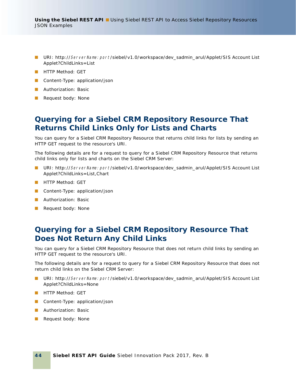- URI: http://*ServerName: port*/siebel/v1.0/workspace/dev\_sadmin\_arul/Applet/SIS Account List Applet?ChildLinks=List
- **B** HTTP Method: GET
- Content-Type: application/json
- Authorization: Basic
- Request body: None

#### <span id="page-43-0"></span>**Querying for a Siebel CRM Repository Resource That Returns Child Links Only for Lists and Charts**

You can query for a Siebel CRM Repository Resource that returns child links for lists by sending an HTTP GET request to the resource's URI.

The following details are for a request to query for a Siebel CRM Repository Resource that returns child links only for lists and charts on the Siebel CRM Server:

- URI: http://*ServerName: port*/siebel/v1.0/workspace/dev\_sadmin\_arul/Applet/SIS Account List Applet?ChildLinks=List,Chart
- HTTP Method: GET
- Content-Type: application/json
- Authorization: Basic
- Request body: None

#### <span id="page-43-1"></span>**Querying for a Siebel CRM Repository Resource That Does Not Return Any Child Links**

You can query for a Siebel CRM Repository Resource that does not return child links by sending an HTTP GET request to the resource's URI.

The following details are for a request to query for a Siebel CRM Repository Resource that does not return child links on the Siebel CRM Server:

- URI: http://*ServerName: port*/siebel/v1.0/workspace/dev\_sadmin\_arul/Applet/SIS Account List Applet?ChildLinks=None
- **B** HTTP Method: GET
- Content-Type: application/json
- Authorization: Basic
- Request body: None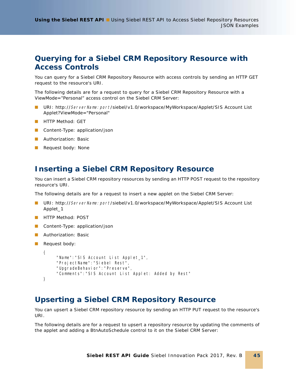#### <span id="page-44-2"></span>**Querying for a Siebel CRM Repository Resource with Access Controls**

You can query for a Siebel CRM Repository Resource with access controls by sending an HTTP GET request to the resource's URI.

The following details are for a request to query for a Siebel CRM Repository Resource with a ViewMode="Personal" access control on the Siebel CRM Server:

- URI: http://*ServerName: port/siebel/v1.0/workspace/MyWorkspace/Applet/SIS Account List* Applet?ViewMode="Personal"
- HTTP Method: GET
- Content-Type: application/json
- Authorization: Basic
- Request body: None

#### <span id="page-44-0"></span>**Inserting a Siebel CRM Repository Resource**

You can insert a Siebel CRM repository resources by sending an HTTP POST request to the repository resource's URI.

The following details are for a request to insert a new applet on the Siebel CRM Server:

- URI: http://*ServerName: port/siebel/v1.0/workspace/MyWorkspace/Applet/SIS Account List* Applet\_1
- HTTP Method: POST
- Content-Type: application/json
- Authorization: Basic
- Request body:

```
{
     "Name":"SIS Account List Applet_1",
     "ProjectName":"Siebel Rest",
     "UpgradeBehavior":"Preserve",
     "Comments":"SIS Account List Applet: Added by Rest"
}
```
#### <span id="page-44-1"></span>**Upserting a Siebel CRM Repository Resource**

You can upsert a Siebel CRM repository resource by sending an HTTP PUT request to the resource's URI.

The following details are for a request to upsert a repository resource by updating the comments of the applet and adding a BtnAutoSchedule control to it on the Siebel CRM Server: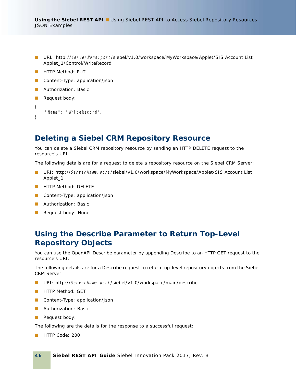- URL: http://*ServerName: port/siebel/v1.0/workspace/MyWorkspace/Applet/SIS Account List* Applet\_1/Control/WriteRecord
- **B** HTTP Method: PUT
- Content-Type: application/json
- Authorization: Basic
- Request body:

```
{
    "Name": "WriteRecord",
}
```

```
Deleting a Siebel CRM Repository Resource
```
You can delete a Siebel CRM repository resource by sending an HTTP DELETE request to the resource's URI.

The following details are for a request to delete a repository resource on the Siebel CRM Server:

- URI: http://ServerName: port/siebel/v1.0/workspace/MyWorkspace/Applet/SIS Account List Applet\_1
- HTTP Method: DELETE
- Content-Type: application/json
- Authorization: Basic
- Request body: None

### <span id="page-45-0"></span>**Using the Describe Parameter to Return Top-Level Repository Objects**

You can use the OpenAPI Describe parameter by appending Describe to an HTTP GET request to the resource's URI.

The following details are for a Describe request to return top-level repository objects from the Siebel CRM Server:

- URI: http://*ServerName: port/siebel/v1.0/workspace/main/describe*
- HTTP Method: GET
- Content-Type: application/json
- Authorization: Basic
- Request body:

The following are the details for the response to a successful request:

**B** HTTP Code: 200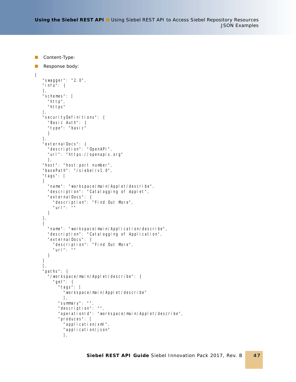```
■ Content-Type:
 Response body:
   "swagger": "2.0", 
   "info": {
   },
   "schemes": [
    "http",
     "https"
   ],
   "securityDefinitions": {
     "Basic Auth": {
     "type": "basic"
     }
   },
   "external Docs": {
     "description": "OpenAPI",
     "url": "https://openapis.org"
    },
   "host": "host: port number",
   "basePath": "/siebel/v1.0",
   "tags": [ 
   {
     "name": "workspace/main/Applet/describe",
     "description": "Catalogging of Applet",
     "external Docs": {
       "description": "Find Out More",
       "url": ""
     }
   },
   {
     "name": "workspace/main/Application/describe",
     "description": "Catalogging of Application",
     "external Docs": {
       "description": "Find Out More",
       "url": "
     }
   }
   ],
   "paths": {
     "/workspace/main/Applet/describe": {
       "get": { 
         "tags": [
           "workspace/main/Applet/describe"
           ],
         "summary": "",
         "description": "",
         "operationId": "workspace/main/Applet/describe",
         "produces": [
           "application/xml",
           "application/json"
           ],
```
{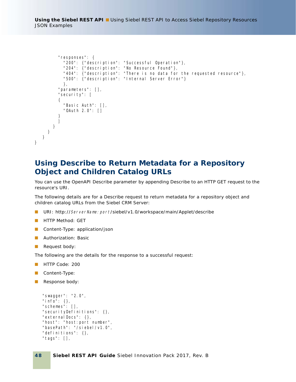```
"responses": { 
           "200": {"description": "Successful Operation"},
           "204": {"description": "No Resource Found"},
           "404": {"description": "There is no data for the requested resource"}
           "500": {"description": "Internal Server Error"}
           },
         "parameters": [],
         "security": [
         {
           "Basic Auth": [],
           "OAuth 2.0": []
         }
         ]
      }
    }
   }
}
```
#### <span id="page-47-0"></span>**Using Describe to Return Metadata for a Repository Object and Children Catalog URLs**

You can use the OpenAPI Describe parameter by appending Describe to an HTTP GET request to the resource's URI.

The following details are for a Describe request to return metadata for a repository object and children catalog URLs from the Siebel CRM Server:

- URI: http://ServerName: port/siebel/v1.0/workspace/main/Applet/describe
- **B** HTTP Method: GET
- Content-Type: application/json
- Authorization: Basic
- Request body:

The following are the details for the response to a successful request:

- **B** HTTP Code: 200
- Content-Type:
- Response body:

```
"swagger": "2.0",
"info": {},
"schemes": [],
"securityDefinitions": {},
"external Docs": {},
"host": "host:port number",
"basePath": "/siebel/v1.0",
"definitions": {},
"tags": [],
```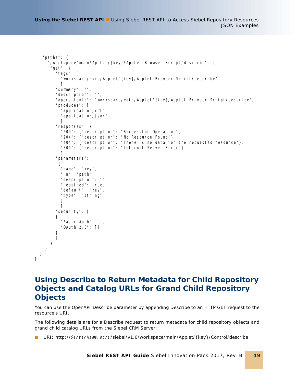```
"paths": {
   "/workspace/main/Applet/{key}/Applet Browser Script/describe": {
     "get": {
      "tags": [
        "workspace/main/Applet/{key}/Applet Browser Script/describe"
        \perp,
      "summary": ""
      "description": "",
      "operationId": "workspace/main/Applet/{key}/Applet Browser Script/describe",
      "produces": [
        "application/xml",
        "application/json"
        ],
      "responses": {
        "200": {"description": "Successful Operation"},
        "204": {"description": "No Resource Found"},
        "404": {"description": "There is no data for the requested resource"},
        "500": {"description": "Internal Server Error"}
        },
      "parameters": [
       \mathcal{L}"name": "key",
        "in": "path",
        "description": "",
        "required": true,
        "default": "key",
        "type": "string"
        }
        ],
      "security": [
      {
        "Basic Auth": [],
        "OAuth 2.0": []
      }
      ]
    }
   }
}
```
#### <span id="page-48-0"></span>**Using Describe to Return Metadata for Child Repository Objects and Catalog URLs for Grand Child Repository Objects**

}

You can use the OpenAPI Describe parameter by appending Describe to an HTTP GET request to the resource's URI.

The following details are for a Describe request to return metadata for child repository objects and grand child catalog URLs from the Siebel CRM Server:

■ URI: http://*ServerName: port/siebel/v1.0/workspace/main/Applet/{key}/Control/describe*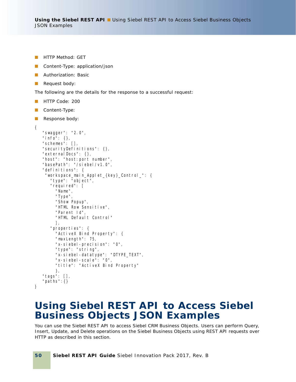- **B** HTTP Method: GET
- Content-Type: application/json
- Authorization: Basic
- Request body:

The following are the details for the response to a successful request:

- HTTP Code: 200
- Content-Type:

{

■ Response body:

```
"swagger": "2.0",
"info": {},
"schemes": [],
"securityDefinitions": {},
"external Docs": {},
"host": "host: port number",
"basePath": "/siebel/v1.0",
"definitions": {
 "workspace_main_Applet_{key}_Control_": {
   "type": "object",
   "required": [
     "Name",
     "Type",
     "Show Popup",
     "HTML Row Sensitive",
     "Parent Id",
     "HTML Default Control"
     ],
   "properties": { 
     "ActiveX Bind Property": {
     "maxLength": 75,
     "x-siebel-precision": "0",
    "type": "string",
     "x-siebel-datatype": "DTYPE_TEXT",
     "x-siebel-scale": "0",
     "title": "ActiveX Bind Property"
     },
"tags": [],
"paths":{}
```

```
}
```
## <span id="page-49-0"></span>**Using Siebel REST API to Access Siebel Business Objects JSON Examples**

You can use the Siebel REST API to access Siebel CRM Business Objects. Users can perform Query, Insert, Update, and Delete operations on the Siebel Business Objects using REST API requests over HTTP as described in this section.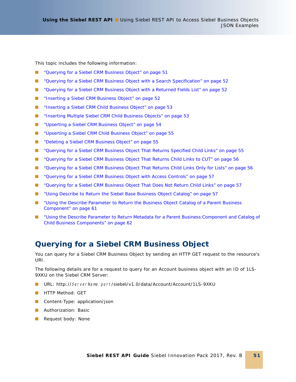This topic includes the following information:

- ["Querying for a Siebel CRM Business Object" on page 51](#page-50-0)
- ["Querying for a Siebel CRM Business Object with a Search Specification" on page 52](#page-51-0)
- ["Querying for a Siebel CRM Business Object with a Returned Fields List" on page 52](#page-51-1)
- ["Inserting a Siebel CRM Business Object" on page 52](#page-51-2)
- ["Inserting a Siebel CRM Child Business Object" on page 53](#page-52-0)
- ["Inserting Multiple Siebel CRM Child Business Objects" on page 53](#page-52-1)
- ["Upserting a Siebel CRM Business Object" on page 54](#page-53-0)
- ["Upserting a Siebel CRM Child Business Object" on page 55](#page-54-0)
- ["Deleting a Siebel CRM Business Object" on page 55](#page-54-1)
- ["Querying for a Siebel CRM Business Object That Returns Specified Child Links" on page 55](#page-54-2)
- ["Querying for a Siebel CRM Business Object That Returns Child Links to CUT" on page 56](#page-55-0)
- ["Querying for a Siebel CRM Business Object That Returns Child Links Only for Lists" on page 56](#page-55-1)
- ["Querying for a Siebel CRM Business Object with Access Controls" on page 57](#page-56-1)
- ["Querying for a Siebel CRM Business Object That Does Not Return Child Links" on page 57](#page-56-0)
- ["Using Describe to Return the Siebel Base Business Object Catalog" on page 57](#page-56-2)
- ["Using the Describe Parameter to Return the Business Object Catalog of a Parent Business](#page-60-0)  [Component" on page 61](#page-60-0)
- "Using the Describe Parameter to Return Metadata for a Parent Business Component and Catalog of [Child Business Components" on page 62](#page-61-0)

### <span id="page-50-0"></span>**Querying for a Siebel CRM Business Object**

You can query for a Siebel CRM Business Object by sending an HTTP GET request to the resource's URI.

The following details are for a request to query for an Account business object with an ID of 1LS-9XKU on the Siebel CRM Server:

- URL: http://ServerName: port/siebel/v1.0/data/Account/Account/1LS-9XKU
- **HTTP Method: GET**
- Content-Type: application/json
- Authorization: Basic
- Request body: None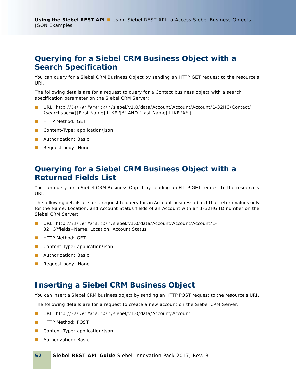#### <span id="page-51-0"></span>**Querying for a Siebel CRM Business Object with a Search Specification**

You can query for a Siebel CRM Business Object by sending an HTTP GET request to the resource's URI.

The following details are for a request to query for a Contact business object with a search specification parameter on the Siebel CRM Server:

- URL: http://*ServerName: port*/siebel/v1.0/data/Account/Account/Account/1-32HG/Contact/ ?searchspec=([First Name] LIKE 'J\*' AND [Last Name] LIKE 'A\*')
- HTTP Method: GET
- Content-Type: application/json
- Authorization: Basic
- Request body: None

#### <span id="page-51-1"></span>**Querying for a Siebel CRM Business Object with a Returned Fields List**

You can query for a Siebel CRM Business Object by sending an HTTP GET request to the resource's URI.

The following details are for a request to query for an Account business object that return values only for the Name, Location, and Account Status fields of an Account with an 1-32HG ID number on the Siebel CRM Server:

- URL: http://*ServerName: port/siebel/v1.0/data/Account/Account/Account/1-*32HG?fields=Name, Location, Account Status
- **B** HTTP Method: GET
- Content-Type: application/json
- Authorization: Basic
- Request body: None

#### <span id="page-51-2"></span>**Inserting a Siebel CRM Business Object**

You can insert a Siebel CRM business object by sending an HTTP POST request to the resource's URI.

The following details are for a request to create a new account on the Siebel CRM Server:

- URL: http://*ServerName: port/siebel/v1.0/data/Account/Account*
- **B** HTTP Method: POST
- Content-Type: application/json
- Authorization: Basic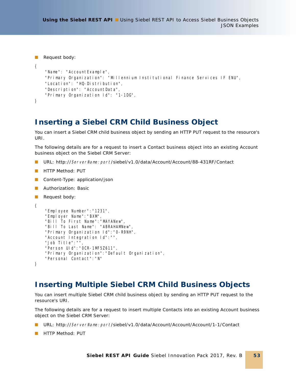```
■ Request body:
{ 
    "Name": "AccountExample",
    "Primary Organization": "Millennium Institutional Finance Services IF ENU",
    "Location": "HQ-Distribution",
    "Description": "AccountData",
    "Primary Organization Id": "1-1DG",
}
```
### <span id="page-52-0"></span>**Inserting a Siebel CRM Child Business Object**

You can insert a Siebel CRM child business object by sending an HTTP PUT request to the resource's URI.

The following details are for a request to insert a Contact business object into an existing Account business object on the Siebel CRM Server:

- URL: http://ServerName: port/siebel/v1.0/data/Account/Account/88-431RF/Contact
- HTTP Method: PUT
- Content-Type: application/json
- Authorization: Basic
- Request body:

```
{
    "Employee Number":"1231",
    "Employer Name":"BXM",
    "Bill To First Name":"MAYANew",
    "Bill To Last Name": "ABRAHAMNew",
    "Primary Organization Id":"0-R9NH",
    "Account Integration Id":"",
    "Job Title":""
    "Person UId":"0CR-1MF5Z611",
    "Primary Organization":"Default Organization",
    "Personal Contact":"N"
}
```
#### <span id="page-52-1"></span>**Inserting Multiple Siebel CRM Child Business Objects**

You can insert multiple Siebel CRM child business object by sending an HTTP PUT request to the resource's URI.

The following details are for a request to insert multiple Contacts into an existing Account business object on the Siebel CRM Server:

- URL: http://ServerName: port/siebel/v1.0/data/Account/Account/Account/1-1/Contact
- **B** HTTP Method: PUT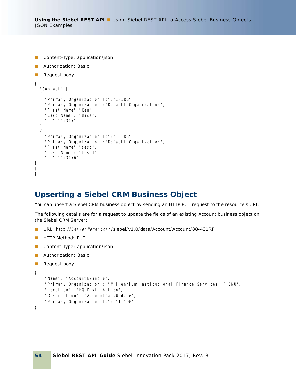```
■ Authorization: Basic
■ Request body:
{
  "Contact":[
  { 
    "Primary Organization Id":"1-1DG",
    "Primary Organization":"Default Organization",
    "First Name":"Ken",
    "Last Name": "Bass",
    "Id":"12345"
  },
  { 
    "Primary Organization Id":"1-1DG",
    "Primary Organization":"Default Organization",
    "First Name":"test",
    "Last Name": "test1",
    "Id":"123456"
}
]
}
```
#### <span id="page-53-0"></span>**Upserting a Siebel CRM Business Object**

You can upsert a Siebel CRM business object by sending an HTTP PUT request to the resource's URI.

The following details are for a request to update the fields of an existing Account business object on the Siebel CRM Server:

- URL: http://*ServerName: port/siebel/v1.0/data/Account/Account/88-431RF*
- HTTP Method: PUT
- Content-Type: application/json

■ Content-Type: application/json

■ Authorization: Basic

```
■ Request body:
```
{

```
"Name": "AccountExample",
"Primary Organization": "Millennium Institutional Finance Services IF ENU",
"Location": "HQ-Distribution",
"Description": "AccountDataUpdate",
"Primary Organization Id": "1-1DG"
```

```
}
```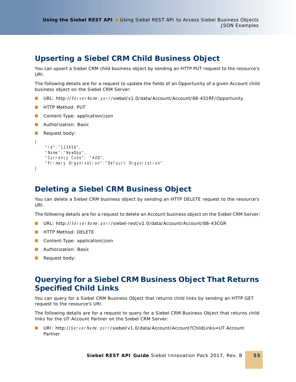## <span id="page-54-0"></span>**Upserting a Siebel CRM Child Business Object**

You can upsert a Siebel CRM child business object by sending an HTTP PUT request to the resource's URI.

The following details are for a request to update the fields of an Opportunity of a given Account child business object on the Siebel CRM Server:

- URL: http://*ServerName: port/*siebel/v1.0/data/Account/Account/88-431RF/Opportunity
- HTTP Method: PUT
- Content-Type: application/json
- Authorization: Basic

```
■ Request body:
{
    "Id":"123456",
    "Name": "NewOpp"
    "Currency Code": "AUD",
    "Primary Organization":"Default Organization"
```

```
}
```
### <span id="page-54-1"></span>**Deleting a Siebel CRM Business Object**

You can delete a Siebel CRM business object by sending an HTTP DELETE request to the resource's URI.

The following details are for a request to delete an Account business object on the Siebel CRM Server:

- URL: http://ServerName: port/siebel-rest/v1.0/data/Account/Account/88-43CGR
- **B** HTTP Method: DELETE
- Content-Type: application/json
- Authorization: Basic
- Request body:

#### <span id="page-54-2"></span>**Querying for a Siebel CRM Business Object That Returns Specified Child Links**

You can query for a Siebel CRM Business Object that returns child links by sending an HTTP GET request to the resource's URI.

The following details are for a request to query for a Siebel CRM Business Object that returns child links for the UT Account Partner on the Siebel CRM Server:

■ URI: http://*ServerName: port/siebel/v1.0/data/Account/Account?ChildLinks=UT Account* Partner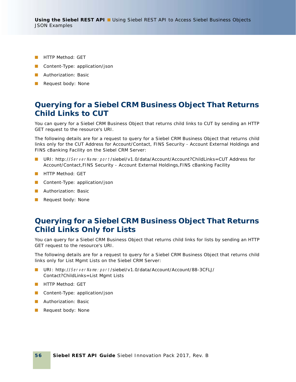- **B** HTTP Method: GET
- Content-Type: application/json
- Authorization: Basic
- Request body: None

#### <span id="page-55-0"></span>**Querying for a Siebel CRM Business Object That Returns Child Links to CUT**

You can query for a Siebel CRM Business Object that returns child links to CUT by sending an HTTP GET request to the resource's URI.

The following details are for a request to query for a Siebel CRM Business Object that returns child links only for the CUT Address for Account/Contact, FINS Security - Account External Holdings and FINS cBanking Facility on the Siebel CRM Server:

- URI: http://ServerName: port/siebel/v1.0/data/Account/Account?ChildLinks=CUT Address for Account/Contact,FINS Security - Account External Holdings,FINS cBanking Facility
- **B** HTTP Method: GET
- Content-Type: application/json
- Authorization: Basic
- Request body: None

#### <span id="page-55-1"></span>**Querying for a Siebel CRM Business Object That Returns Child Links Only for Lists**

You can query for a Siebel CRM Business Object that returns child links for lists by sending an HTTP GET request to the resource's URI.

The following details are for a request to query for a Siebel CRM Business Object that returns child links only for List Mgmt Lists on the Siebel CRM Server:

- URI: http://*ServerName: port/siebel/v1.0/data/Account/Account/88-3CFLJ/* Contact?ChildLinks=List Mgmt Lists
- **B** HTTP Method: GET
- Content-Type: application/json
- Authorization: Basic
- Request body: None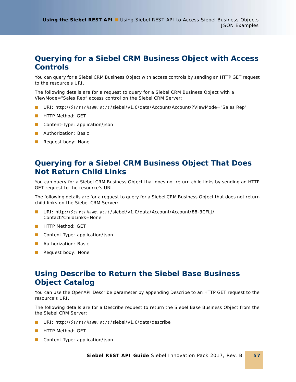#### <span id="page-56-1"></span>**Querying for a Siebel CRM Business Object with Access Controls**

You can query for a Siebel CRM Business Object with access controls by sending an HTTP GET request to the resource's URI.

The following details are for a request to query for a Siebel CRM Business Object with a ViewMode="Sales Rep" access control on the Siebel CRM Server:

- URI: http://*ServerName: port/siebel/v1.0/data/Account/Account/?ViewMode="Sales Rep"*
- HTTP Method: GET
- Content-Type: application/json
- Authorization: Basic
- Request body: None

#### <span id="page-56-0"></span>**Querying for a Siebel CRM Business Object That Does Not Return Child Links**

You can query for a Siebel CRM Business Object that does not return child links by sending an HTTP GET request to the resource's URI.

The following details are for a request to query for a Siebel CRM Business Object that does not return child links on the Siebel CRM Server:

- URI: http://*ServerName: port*/siebel/v1.0/data/Account/Account/88-3CFLJ/ Contact?ChildLinks=None
- **B** HTTP Method: GET
- Content-Type: application/json
- Authorization: Basic
- Request body: None

#### <span id="page-56-2"></span>**Using Describe to Return the Siebel Base Business Object Catalog**

You can use the OpenAPI Describe parameter by appending Describe to an HTTP GET request to the resource's URI.

The following details are for a Describe request to return the Siebel Base Business Object from the the Siebel CRM Server:

- URI: http://*ServerName: port*/siebel/v1.0/data/describe
- HTTP Method: GET
- Content-Type: application/json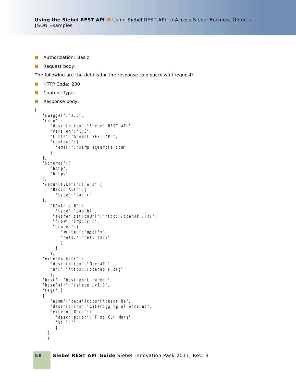- Authorization: Basic
- Request body:

The following are the details for the response to a successful request:

```
■ HTTP Code: 200
```

```
■ Content-Type:
```

```
■ Response body:
```

```
{ 
   "swagger":"2.0",
  "info":{ 
      "description":"Siebel REST API",
      "version":"1.0",
      "title":"Siebel REST API",
      "contact":{ 
        "email": "sample@sample.com"
      }
   },
   "schemes":[ 
      "http",
      "https"
   ],
   "securityDefinitions": {
      "Basic Auth":{ 
        "type":"basic"
   },
     "OAuth 2.0":{ 
       "type":"oauth2",
       "authorizationUrl":"http://openAPI.io/",
       "flow":"implicit",
       "scopes":{ 
          "write:":"modify",
          "read:":"read only"
          }
        }
      },
   "external Docs": {
      "description":"OpenAPI",
      "url":"https://openapis.org"
      },
   "host": "host:port number",
   "basePath":"/siebel/v1.0",
   "tags":[ 
   { 
      "name":"data/Account/describe",
      "description":"Catalogging of Account",
      "external Docs": {
        "description":"Find Out More",
        "url":""
        }
     },
     {
```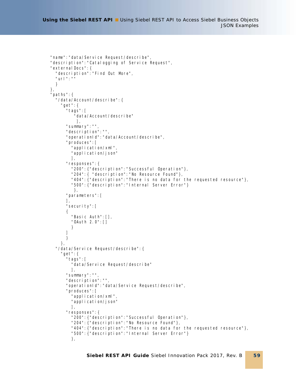```
"name":"data/Service Request/describe",
"description":"Catalogging of Service Request",
"external Docs": {
  "description": "Find Out More",
  "url":""
  }
},
"paths":{ 
  "/data/Account/describe":{ 
    "get":{ 
      "tags":[ 
         "data/Account/describe"
          ],
      "summary":"",
      "description":"",
      "operationId":"data/Account/describe",
      "produces":[ 
        "application/xml",
        "application/json"
        ],
      "responses":{ 
        "200":{"description":"Successful Operation"},
        "204":{ "description":"No Resource Found"},
        "404":{"description":"There is no data for the requested resource"},
        "500":{"description":"Internal Server Error"}
         },
      "parameters":[ 
      ],
      "security": [
      { 
        "Basic Auth":[],
        "OAuth 2.0":[]
        }
      ]
      }
    },
  "/data/Service Request/describe":{ 
    "get":{ 
      "tags":[ 
        "data/Service Request/describe"
        ],
      "summary":"",
      "description":"",
      "operationId":"data/Service Request/describe",
      "produces":[ 
        "application/xml",
        "application/json"
        ],
      "responses":{ 
        "200":{"description":"Successful Operation"},
        "204":{"description":"No Resource Found"},
        "404":{"description":"There is no data for the requested resource"},
        "500":{"description":"Internal Server Error"}
        },
```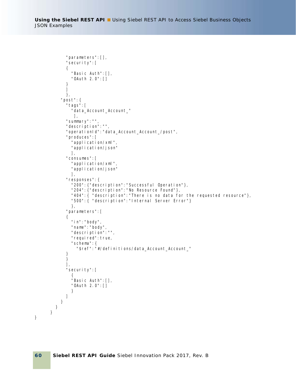```
"parameters":[],
     "security": [
     { 
       "Basic Auth":[],
       "OAuth 2.0":[]
     }
     ]
     },
   "post":{ 
     "tags":[ 
       "data_Account_Account_"
       ],
     "summary":"",
     "description":"",
     "operationId":"data_Account_Account_/post",
     "produces":[ 
       "application/xml",
       "application/json"
       ],
     "consumes":[ 
       "application/xml",
       "application/json"
       ],
     "responses":{ 
       "200":{"description":"Successful Operation"},
       "204":{"description":"No Resource Found"},
       "404":{ "description":"There is no data for the requested resource"},
       "500":{ "description":"Internal Server Error"}
       },
     "parameters":[ 
    { 
       "in":"body",
       "name": "body"
       "description":"",
       "required": true,
       "schema":{ 
         "$ref": "#/definitions/data Account Account "
     }
     }
     ],
     "security": [
       { 
       "Basic Auth":[],
       "OAuth 2.0":[]
       }
    ]
  }
}
```
}

}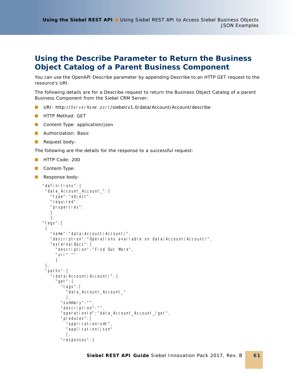#### <span id="page-60-0"></span>**Using the Describe Parameter to Return the Business Object Catalog of a Parent Business Component**

You can use the OpenAPI Describe parameter by appending Describe to an HTTP GET request to the resource's URI.

The following details are for a Describe request to return the Business Object Catalog of a parent Business Component from the Siebel CRM Server:

- URI: http://*ServerName: port/siebel/v1.0/data/Account/Account/describe*
- HTTP Method: GET
- Content-Type: application/json
- Authorization: Basic
- Request body:

The following are the details for the response to a successful request:

- **B** HTTP Code: 200
- Content-Type:
- Response body:

```
"definitions":{ 
 "data_Account_Account_":{ 
   "type":"object",
   "required":
   "properties":
   }
   },
"tags":[ 
 { 
   "name":"data/Account/Account/",
   "description":"Operations available on data/Account/Account/",
   "external Docs": {
     "description":"Find Out More",
     "url":""
     }
 },
 "paths":{ 
   "/data/Account/Account/":{ 
     "get":{ 
       "tags":[ 
         "data_Account_Account_"
         ],
       "summary": ""
       "description":"",
       "operationId":"data_Account_Account_/get",
       "produces":[ 
         "application/xml",
         "application/json"
         ],
       "responses":{
```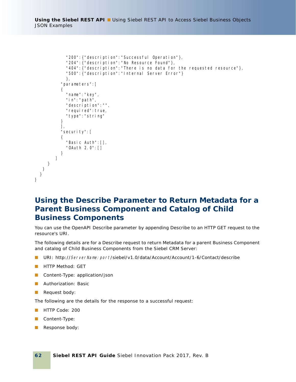```
"200":{"description":"Successful Operation"},
            "204":{"description":"No Resource Found"},
            "404":{"description":"There is no data for the requested resource"},
            "500":{"description":"Internal Server Error"}
            },
          "parameters":[ 
          { 
            "name": "key",
            "in":"path",
            "description":"",
            "required": true,
            "type":"string"
          }
          ],
          "security": [
          { 
            "Basic Auth":[],
            "OAuth 2.0":[]
          }
        ]
    }
  }
 }
}
```
#### <span id="page-61-0"></span>**Using the Describe Parameter to Return Metadata for a Parent Business Component and Catalog of Child Business Components**

You can use the OpenAPI Describe parameter by appending Describe to an HTTP GET request to the resource's URI.

The following details are for a Describe request to return Metadata for a parent Business Component and catalog of Child Business Components from the Siebel CRM Server:

- URI: http://*ServerName: port/siebel/v1.0/data/Account/Account/1-6/Contact/describe*
- **B** HTTP Method: GET
- Content-Type: application/json
- Authorization: Basic
- Request body:

The following are the details for the response to a successful request:

- **B** HTTP Code: 200
- Content-Type:
- Response body: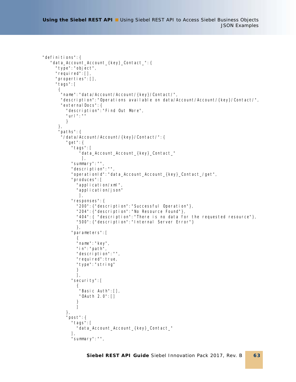```
"definitions":{ 
   "data_Account_Account_{key}_Contact_":{ 
     "type":"object",
     "required": [],
     "properties":[],
     "tags":[ 
      { 
       "name":"data/Account/Account/{key}/Contact/",
       "description":"Operations available on data/Account/Account/{key}/Contact/",
       "external Docs": {
          "description":"Find Out More",
          "url":""
         }
      },
      "paths":{ 
        "/data/Account/Account/{key}/Contact/":{ 
          "get":{ 
            "tags":[ 
                "data_Account_Account_{key}_Contact_"
                ],
            "summary":"",
            "description":"",
            "operationId":"data_Account_Account_{key}_Contact_/get",
            "produces":[ 
              "application/xml",
              "application/json"
               ],
            "responses":{ 
              "200":{"description":"Successful Operation"},
              "204":{"description":"No Resource Found"},
              "2011; assert first in the nessen seriously,"<br>"404": { "description": "There is no data for the requested resource"},
              "500":{"description":"Internal Server Error"}
              },
            "parameters":[ 
              { 
              "name": "key",
              "in":"path",
              "description":"",
              "required": true,
              "type":"string"
              }
              ],
            "security": [
              { 
               "Basic Auth":[],
               "OAuth 2.0":[]
              }
              ]
          },
          "post":{ 
            "tags":[ 
              "data_Account_Account_{key}_Contact_"
            ],
            "summary":"",
```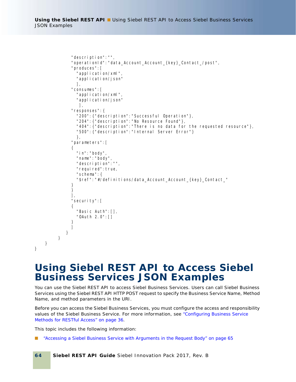```
"description":"",
     "operationId":"data_Account_Account_{key}_Contact_/post",
     "produces":[ 
       "application/xml",
       "application/json"
       ],
     "consumes":[ 
       "application/xml",
       "application/json"
        ],
     "responses":{ 
       "200":{"description":"Successful Operation"},
       "204":{"description":"No Resource Found"},
       "404":{"description":"There is no data for the requested resource"},
       "500":{"description":"Internal Server Error"}
       },
     "parameters":[ 
     { 
       "in":"body",
       "name": "body"
       "description":"",
       "required": true,
       "schema":{ 
       "$ref":"#/definitions/data_Account_Account_{key}_Contact_"
     }
     }
     ],
     "security": [
     { 
       "Basic Auth":[],
       "OAuth 2.0":[]
     }
     ]
   }
}
```
## <span id="page-63-0"></span>**Using Siebel REST API to Access Siebel Business Services JSON Examples**

You can use the Siebel REST API to access Siebel Business Services. Users can call Siebel Business Services using the Siebel REST API HTTP POST request to specify the Business Service Name, Method Name, and method parameters in the URI.

Before you can access the Siebel Business Services, you must configure the access and responsibility values of the Siebel Business Service. For more information, see ["Configuring Business Service](#page-35-0)  [Methods for RESTful Access" on page 36](#page-35-0).

This topic includes the following information:

}

}

■ ["Accessing a Siebel Business Service with Arguments in the Request Body" on page 65](#page-64-0)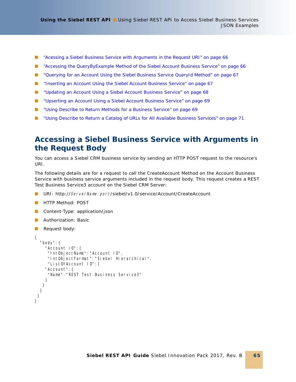- ["Acessing a Siebel Business Service with Arguments in the Request URI" on page 66](#page-65-0)
- ["Accessing the QueryByExample Method of the Siebel Account Business Service" on page 66](#page-65-1)
- ["Querying for an Account Using the Siebel Business Service QueryId Method" on page 67](#page-66-0)
- ["Inserting an Account Using the Siebel Account Business Service" on page 67](#page-66-1)
- ["Updating an Account Using a Siebel Account Business Service" on page 68](#page-67-0)
- ["Upserting an Account Using a Siebel Account Business Service" on page 69](#page-68-0)
- ["Using Describe to Return Methods for a Business Service" on page 69](#page-68-1)
- ["Using Describe to Return a Catalog of URLs for All Available Business Services" on page 71](#page-70-0)

### <span id="page-64-0"></span>**Accessing a Siebel Business Service with Arguments in the Request Body**

You can access a Siebel CRM business service by sending an HTTP POST request to the resource's URI.

The following details are for a request to call the CreateAccount Method on the Account Business Service with business service arguments included in the request body. This request creates a REST Test Business Service3 account on the Siebel CRM Server:

- URI: http://*ServerName: port/siebel/v1.0/service/Account/CreateAccount*
- **B** HTTP Method: POST
- Content-Type: application/json
- Authorization: Basic
- Request body:

```
{
  "body":{
    "Account IO":{
     "IntObjectName":"Account IO",
     "IntObjectFormat":"Siebel Hierarchical",
     "ListOfAccount IO":{
    "Account":{
     "Name":"REST Test Business Service3"
    }
   }
 }
}
}
```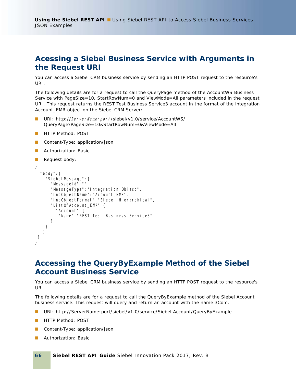#### <span id="page-65-0"></span>**Acessing a Siebel Business Service with Arguments in the Request URI**

You can access a Siebel CRM business service by sending an HTTP POST request to the resource's URI.

The following details are for a request to call the QueryPage method of the AccountWS Business Service with PageSize=10, StartRowNum=0 and ViewMode=All parameters included in the request URI. This request returns the REST Test Business Service3 account in the format of the integration Account\_EMR object on the Siebel CRM Server:

- URI: http://ServerName: port/siebel/v1.0/service/AccountWS/ QueryPage?PageSize=10&StartRowNum=0&ViewMode=All
- HTTP Method: POST
- Content-Type: application/json
- Authorization: Basic

```
Request body:
```

```
{
  "body":{
    "SiebelMessage":{
      "MessageId": ""
      "MessageType":"Integration Object",
      "IntObjectName":"Account_EMR",
      "IntObjectFormat":"Siebel Hierarchical",
      "ListOfAccount_EMR":{
        "Account":{
         "Name":"REST Test Business Service3"
      }
    }
  }
}
}
```
#### <span id="page-65-1"></span>**Accessing the QueryByExample Method of the Siebel Account Business Service**

You can access a Siebel CRM business service by sending an HTTP POST request to the resource's URI.

The following details are for a request to call the QueryByExample method of the Siebel Account business service. This request will query and return an account with the name 3Com.

- URI: http://*ServerName:port*/siebel/v1.0/service/Siebel Account/QueryByExample
- **HTTP Method: POST**
- Content-Type: application/json
- Authorization: Basic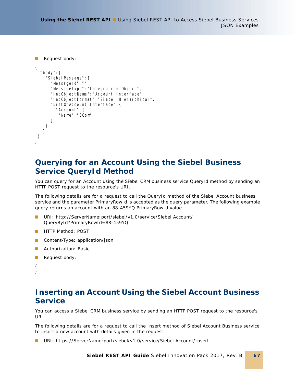```
Request body:
{
  "body":{
    "SiebelMessage":{
      "MessageId": ""
      "MessageType":"Integration Object",
      "IntObjectName":"Account Interface",
      "IntObjectFormat":"Siebel Hierarchical",
      "ListOfAccount Interface":{
         "Account":{
         "Name":"3Com"
      }
   }
  }
 }
}
```
#### <span id="page-66-0"></span>**Querying for an Account Using the Siebel Business Service QueryId Method**

You can query for an Account using the Siebel CRM business service QueryId method by sending an HTTP POST request to the resource's URI.

The following details are for a request to call the QueryId method of the Siebel Account business service and the parameter PrimaryRowId is accepted as the query parameter. The following example query returns an account with an 88-459YQ PrimaryRowId value.

- URI: http://*ServerName:port*/siebel/v1.0/service/Siebel Account/ QueryById?PrimaryRowId=88-459YQ
- HTTP Method: POST
- Content-Type: application/json
- Authorization: Basic
- Request body:

```
{
}
```
#### <span id="page-66-1"></span>**Inserting an Account Using the Siebel Account Business Service**

You can access a Siebel CRM business service by sending an HTTP POST request to the resource's URI.

The following details are for a request to call the Insert method of Siebel Account Business service to insert a new account with details given in the request.

■ URI: https://*ServerName:port*/siebel/v1.0/service/Siebel Account/Insert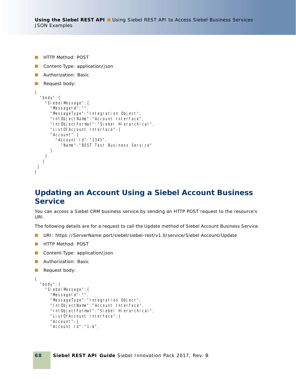- HTTP Method: POST
- Content-Type: application/json
- Authorization: Basic
- Request body:

```
{
  "body":{
    "SiebelMessage":{
      "MessageId": ""
      "MessageType":"Integration Object",
      "IntObjectName":"Account Interface",
      "IntObjectFormat":"Siebel Hierarchical",
      "ListOfAccount Interface":{
      "Account":{
        "Account Id":"2345",
          "Name":"REST Test Business Service"
      }
   }
   }
 }
}
```
#### <span id="page-67-0"></span>**Updating an Account Using a Siebel Account Business Service**

You can access a Siebel CRM business service by sending an HTTP POST request to the resource's URI.

The following details are for a request to call the Update method of Siebel Account Business Service.

- URI: https://*ServerName:port*/siebel/siebel-rest/v1.0/service/Siebel Account/Update
- **B** HTTP Method: POST
- Content-Type: application/json
- Authorization: Basic

```
Request body:
```

```
{
```

```
"body":{
  "SiebelMessage":{
   "MessageId": ""
    "MessageType":"Integration Object",
    "IntObjectName":"Account Interface",
    "IntObjectFormat":"Siebel Hierarchical",
    "ListOfAccount Interface":{
    "Account":{
    "Account Id":"1-6",
```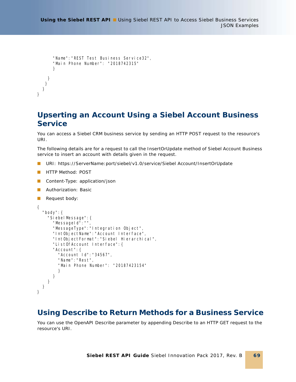```
"Name":"REST Test Business Service32",
    "Main Phone Number": "2018742315"
    }
  }
 }
}
```
#### <span id="page-68-0"></span>**Upserting an Account Using a Siebel Account Business Service**

You can access a Siebel CRM business service by sending an HTTP POST request to the resource's URI.

The following details are for a request to call the InsertOrUpdate method of Siebel Account Business service to insert an account with details given in the request.

- URI: https://*ServerName:port*/siebel/v1.0/service/Siebel Account/InsertOrUpdate
- **B** HTTP Method: POST
- Content-Type: application/json
- Authorization: Basic
- Request body:

}

```
{
  "body":{
    "SiebelMessage":{
      "MessageId": "",
      "MessageType":"Integration Object",
      "IntObjectName":"Account Interface",
      "IntObjectFormat":"Siebel Hierarchical",
      "ListOfAccount Interface":{
      "Account":{
        "Account Id":"34567",
        "Name":"Rest",
        "Main Phone Number": "20187423154"
        }
      }
    }
 }
}
```
#### <span id="page-68-1"></span>**Using Describe to Return Methods for a Business Service**

You can use the OpenAPI Describe parameter by appending Describe to an HTTP GET request to the resource's URI.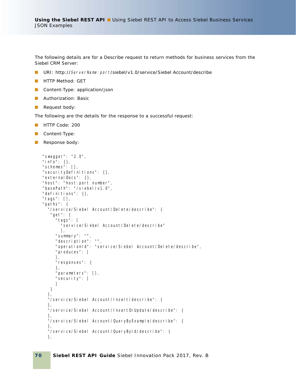The following details are for a Describe request to return methods for business services from the Siebel CRM Server:

- URI: http://*ServerName: port/siebel/v1.0/service/Siebel Account/describe*
- HTTP Method: GET
- Content-Type: application/json
- Authorization: Basic
- Request body:

The following are the details for the response to a successful request:

- **B** HTTP Code: 200
- Content-Type:
- Response body:

```
"swagger": "2.0",
"info": {},
"schemes": [],
"securityDefinitions": {},
"external Docs": {},
"host": "host:port number",
"basePath": "/siebel/v1.0",
"definitions": {},
"tags": [],
"paths": {
  "/service/Siebel Account/Delete/describe": {
   "get": {
     "tags": [
       "service/Siebel Account/Delete/describe"
       ],
     "summary": "",
     "description": "",
     "operationId": "service/Siebel Account/Delete/describe",
     "produces": [ 
     ],
     "responses": { 
     },
     "parameters": [], 
     "security": [
     ]
   }
  },
  "/service/Siebel Account/Insert/describe": {
  },
  "/service/Siebel Account/InsertOrUpdate/describe": {
  },
  "/service/Siebel Account/QueryByExample/describe": {
  }, 
  "/service/Siebel Account/QueryById/describe": {
  },
```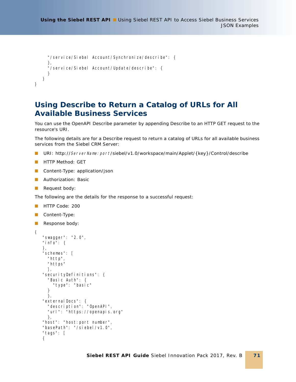```
"/service/Siebel Account/Synchronize/describe": {
     }, 
     "/service/Siebel Account/Update/describe": {
     }
   }
}
```
#### <span id="page-70-0"></span>**Using Describe to Return a Catalog of URLs for All Available Business Services**

You can use the OpenAPI Describe parameter by appending Describe to an HTTP GET request to the resource's URI.

The following details are for a Describe request to return a catalog of URLs for all available business services from the Siebel CRM Server:

- URI: http://*ServerName: port/*siebel/v1.0/workspace/main/Applet/{key}/Control/describe
- HTTP Method: GET
- Content-Type: application/json
- Authorization: Basic
- Request body:

The following are the details for the response to a successful request:

```
B HTTP Code: 200
```
■ Content-Type:

```
■ Response body:
```

```
{
```

```
"swagger": "2.0", 
"info": { 
},
"schemes": [
 "http",
 "https"
 ],
"securityDefinitions": {
 "Basic Auth": {
   "type": "basic"
 }
 },
"external Docs": {
 "description": "OpenAPI",
 "url": "https://openapis.org"
 },
"host": "host:port number",
"basePath": "/siebel/v1.0",
"tags": [ 
{
```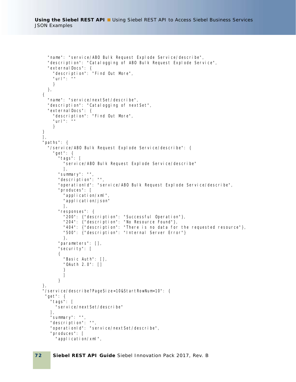```
"name": "service/ABO Bulk Request Explode Service/describe", 
  "description": "Catalogging of ABO Bulk Request Explode Service",
  "external Docs": {
    "description": "Find Out More",
    "url": ^{\mathrm{in}}"
    }
 },
{
  "name": "service/nextSet/describe",
  "description": "Catalogging of nextSet",
  "external Docs": {
    "description": "Find Out More",
    "url": ""
    }
} 
],
"paths": {
  "/service/ABO Bulk Request Explode Service/describe": { 
    "get": { 
      "tags": [
        "service/ABO Bulk Request Explode Service/describe"
        ],
      "summary": "",
      "description": "",
      "operationId": "service/ABO Bulk Request Explode Service/describe",
      "produces": [
        "application/xml",
        "application/json"
        ],
      "responses": { 
        "200": {"description": "Successful Operation"},
        "204": {"description": "No Resource Found"},
        "404": {"description": "There is no data for the requested resource"},
        "500": {"description": "Internal Server Error"}
        },
      "parameters": [],
      "security": [
      {
        "Basic Auth": [],
        "OAuth 2.0": []
        }
        ]
      }
},
"/service/describe?PageSize=10&StartRowNum=10": {
 "get": { 
   "tags": [
     "service/nextSet/describe"
   ],
   "summary": "",
   "description": "",
   "operationId": "service/nextSet/describe",
   "produces": [
     "application/xml",
```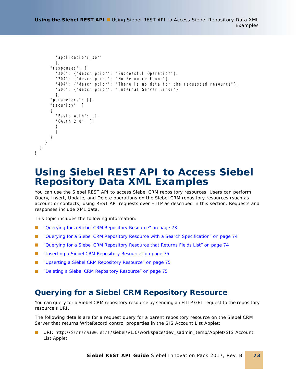```
"application/json"
      ],
    "responses": { 
      "200": {"description": "Successful Operation"},
      "204": {"description": "No Resource Found"},
      "404": {"description": "There is no data for the requested resource"},
      "500": {"description": "Internal Server Error"}
      },
    "parameters": [],
    "security": [
    {
      "Basic Auth": [],
      "OAuth 2.0": []
      }
      ]
    }
  }
}
```
## **Using Siebel REST API to Access Siebel Repository Data XML Examples**

You can use the Siebel REST API to access Siebel CRM repository resources. Users can perform Query, Insert, Update, and Delete operations on the Siebel CRM repository resources (such as account or contacts) using REST API requests over HTTP as described in this section. Requests and responses include XML data.

This topic includes the following information:

}

- ["Querying for a Siebel CRM Repository Resource" on page 73](#page-72-0)
- ["Querying for a Siebel CRM Repository Resource with a Search Specification" on page 74](#page-73-0)
- ["Querying for a Siebel CRM Repository Resource that Returns Fields List" on page 74](#page-73-1)
- ["Inserting a Siebel CRM Repository Resource" on page 75](#page-74-0)
- ["Upserting a Siebel CRM Repository Resource" on page 75](#page-74-1)
- ["Deleting a Siebel CRM Repository Resource" on page 75](#page-74-2)

## <span id="page-72-0"></span>**Querying for a Siebel CRM Repository Resource**

You can query for a Siebel CRM repository resource by sending an HTTP GET request to the repository resource's URI.

The following details are for a request query for a parent repository resource on the Siebel CRM Server that returns WriteRecord control properties in the SIS Account List Applet:

■ URI: http://*ServerName: port/siebel/v1.0/workspace/dev\_sadmin\_temp/Applet/SIS Account* List Applet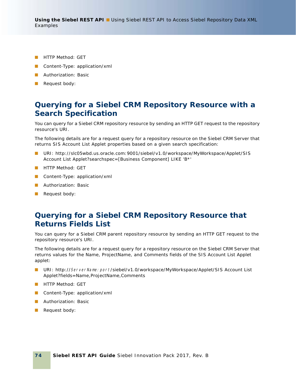- **B** HTTP Method: GET
- Content-Type: application/xml
- Authorization: Basic
- Request body:

### <span id="page-73-0"></span>**Querying for a Siebel CRM Repository Resource with a Search Specification**

You can query for a Siebel CRM repository resource by sending an HTTP GET request to the repository resource's URI.

The following details are for a request query for a repository resource on the Siebel CRM Server that returns SIS Account List Applet properties based on a given search specification:

- URI: http://slc05wbd.us.oracle.com:9001/siebel/v1.0/workspace/MyWorkspace/Applet/SIS Account List Applet?searchspec=[Business Component] LIKE 'B\*'
- **B** HTTP Method: GET
- Content-Type: application/xml
- Authorization: Basic
- Request body:

#### <span id="page-73-1"></span>**Querying for a Siebel CRM Repository Resource that Returns Fields List**

You can query for a Siebel CRM parent repository resource by sending an HTTP GET request to the repository resource's URI.

The following details are for a request query for a repository resource on the Siebel CRM Server that returns values for the Name, ProjectName, and Comments fields of the SIS Account List Applet applet:

- URI: http://*ServerName: port/siebel/v1.0/workspace/MyWorkspace/Applet/SIS Account List* Applet?fields=Name,ProjectName,Comments
- **B** HTTP Method: GET
- Content-Type: application/xml
- Authorization: Basic
- Request body: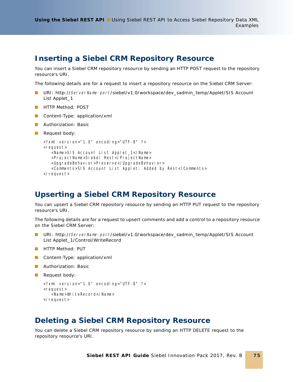#### <span id="page-74-0"></span>**Inserting a Siebel CRM Repository Resource**

You can insert a Siebel CRM repository resource by sending an HTTP POST request to the repository resource's URI.

The following details are for a request to insert a repository resource on the Siebel CRM Server:

- URI: http://ServerName: port/siebel/v1.0/workspace/dev\_sadmin\_temp/Applet/SIS Account List Applet\_1
- HTTP Method: POST
- Content-Type: application/xml
- Authorization: Basic
- Request body:

```
<?xml version="1.0" encoding="UTF-8" ?>
<request>
   <Name>SIS Account List Applet_1</Name>
   <ProjectName>Siebel Rest</ProjectName>
   <UpgradeBehavior>Preserve</UpgradeBehavior>
   <Comments>SIS Account List Applet: Added by Rest</Comments>
</request>
```
#### <span id="page-74-1"></span>**Upserting a Siebel CRM Repository Resource**

You can upsert a Siebel CRM repository resource by sending an HTTP PUT request to the repository resource's URI.

The following details are for a request to upsert comments and add a control to a repository resource on the Siebel CRM Server:

- URI: http://*ServerName: port/siebel/v1.0/workspace/dev\_sadmin\_temp/Applet/SIS Account* List Applet\_1/Control/WriteRecord
- **B** HTTP Method: PUT
- Content-Type: application/xml
- Authorization: Basic
- Request body:

```
<?xml version="1.0" encoding="UTF-8" ?>
<request>
   <Name>WriteRecord</Name>
</request>
```
#### <span id="page-74-2"></span>**Deleting a Siebel CRM Repository Resource**

You can delete a Siebel CRM repository resource by sending an HTTP DELETE request to the repository resource's URI.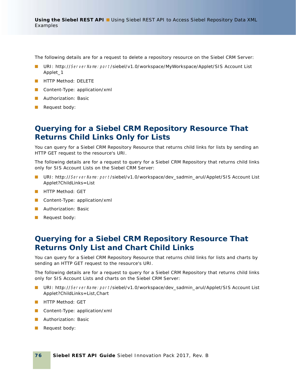The following details are for a request to delete a repository resource on the Siebel CRM Server:

- URI: http://*ServerName: port/siebel/v1.0/workspace/MyWorkspace/Applet/SIS Account List* Applet\_1
- HTTP Method: DELETE
- Content-Type: application/xml
- Authorization: Basic
- Request body:

### **Querying for a Siebel CRM Repository Resource That Returns Child Links Only for Lists**

You can query for a Siebel CRM Repository Resource that returns child links for lists by sending an HTTP GET request to the resource's URI.

The following details are for a request to query for a Siebel CRM Repository that returns child links only for SIS Account Lists on the Siebel CRM Server:

- URI: http://ServerName: port/siebel/v1.0/workspace/dev\_sadmin\_arul/Applet/SIS Account List Applet?ChildLinks=List
- **B** HTTP Method: GET
- Content-Type: application/xml
- Authorization: Basic
- Request body:

#### **Querying for a Siebel CRM Repository Resource That Returns Only List and Chart Child Links**

You can query for a Siebel CRM Repository Resource that returns child links for lists and charts by sending an HTTP GET request to the resource's URI.

The following details are for a request to query for a Siebel CRM Repository that returns child links only for SIS Account Lists and charts on the Siebel CRM Server:

- URI: http://*ServerName: port*/siebel/v1.0/workspace/dev\_sadmin\_arul/Applet/SIS Account List Applet?ChildLinks=List,Chart
- **B** HTTP Method: GET
- Content-Type: application/xml
- Authorization: Basic
- Request body: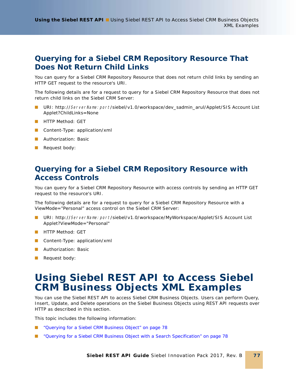### **Querying for a Siebel CRM Repository Resource That Does Not Return Child Links**

You can query for a Siebel CRM Repository Resource that does not return child links by sending an HTTP GET request to the resource's URI.

The following details are for a request to query for a Siebel CRM Repository Resource that does not return child links on the Siebel CRM Server:

- URI: http://*ServerName: port*/siebel/v1.0/workspace/dev\_sadmin\_arul/Applet/SIS Account List Applet?ChildLinks=None
- HTTP Method: GET
- Content-Type: application/xml
- Authorization: Basic
- Request body:

## **Querying for a Siebel CRM Repository Resource with Access Controls**

You can query for a Siebel CRM Repository Resource with access controls by sending an HTTP GET request to the resource's URI.

The following details are for a request to query for a Siebel CRM Repository Resource with a ViewMode="Personal" access control on the Siebel CRM Server:

- URI: http://ServerName: port/siebel/v1.0/workspace/MyWorkspace/Applet/SIS Account List Applet?ViewMode="Personal"
- **B** HTTP Method: GET
- Content-Type: application/xml
- Authorization: Basic
- Request body:

## **Using Siebel REST API to Access Siebel CRM Business Objects XML Examples**

You can use the Siebel REST API to access Siebel CRM Business Objects. Users can perform Query, Insert, Update, and Delete operations on the Siebel Business Objects using REST API requests over HTTP as described in this section.

This topic includes the following information:

- ["Querying for a Siebel CRM Business Object" on page 78](#page-77-0)
- ["Querying for a Siebel CRM Business Object with a Search Specification" on page 78](#page-77-1)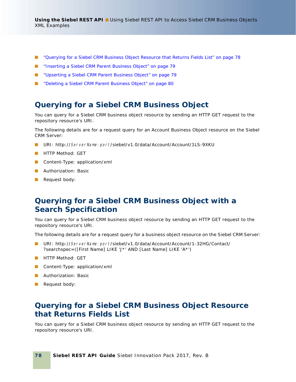- ["Querying for a Siebel CRM Business Object Resource that Returns Fields List" on page 78](#page-77-2)
- ["Inserting a Siebel CRM Parent Business Object" on page 79](#page-78-0)
- ["Upserting a Siebel CRM Parent Business Object" on page 79](#page-78-1)
- ["Deleting a Siebel CRM Parent Business Object" on page 80](#page-79-0)

#### <span id="page-77-0"></span>**Querying for a Siebel CRM Business Object**

You can query for a Siebel CRM business object resource by sending an HTTP GET request to the repository resource's URI.

The following details are for a request query for an Account Business Object resource on the Siebel CRM Server:

- URI: http://*ServerName: port/*siebel/v1.0/data/Account/Account/1LS-9XKU
- **B** HTTP Method: GET
- Content-Type: application/xml
- Authorization: Basic
- Request body:

#### <span id="page-77-1"></span>**Querying for a Siebel CRM Business Object with a Search Specification**

You can query for a Siebel CRM business object resource by sending an HTTP GET request to the repository resource's URI.

The following details are for a request query for a business object resource on the Siebel CRM Server:

- URI: http://ServerName: port/siebel/v1.0/data/Account/Account/1-32HG/Contact/ ?searchspec=([First Name] LIKE 'J\*' AND [Last Name] LIKE 'A\*')
- **B** HTTP Method: GET
- Content-Type: application/xml
- Authorization: Basic
- Request body:

#### <span id="page-77-2"></span>**Querying for a Siebel CRM Business Object Resource that Returns Fields List**

You can query for a Siebel CRM business object resource by sending an HTTP GET request to the repository resource's URI.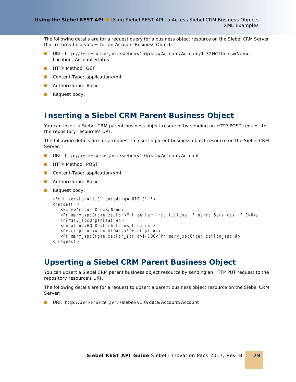The following details are for a request query for a business object resource on the Siebel CRM Server that returns field values for an Account Business Object:

- URI: http://*ServerName: port/*siebel/v1.0/data/Account/Account/1-32HG?fields=Name, Location, Account Status
- **B** HTTP Method: GET
- Content-Type: application/xml
- **B** Authorization: Basic
- Request body:

#### <span id="page-78-0"></span>**Inserting a Siebel CRM Parent Business Object**

You can insert a Siebel CRM parent business object resource by sending an HTTP POST request to the repository resource's URI.

The following details are for a request to insert a parent business object resource on the Siebel CRM Server:

- URI: http://*ServerName: port*/siebel/v1.0/data/Account/Account
- HTTP Method: POST
- Content-Type: application/xml
- Authorization: Basic
- Request body:

```
<?xml version="1.0" encoding="UTF-8" ?>
<request >
   <Name>AccountData</Name>
   <Primary_spcOrganization>Millennium Institutional Finance Services IF ENU</
  Primary spcOrganization>
   <Location>HQ-Distribution</Location>
   <Description>AccountData</Description>
   <Primary_spcOrganization_spcId>1-1DG</Primary_spcOrganization_spcId>
</request>
```
#### <span id="page-78-1"></span>**Upserting a Siebel CRM Parent Business Object**

You can upsert a Siebel CRM parent business object resource by sending an HTTP PUT request to the repository resource's URI.

The following details are for a request to upsert a parent business object resource on the Siebel CRM Server:

■ URI: http://ServerName: port/siebel/v1.0/data/Account/Account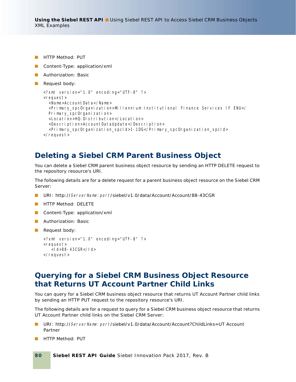- **B** HTTP Method: PUT
- Content-Type: application/xml
- Authorization: Basic
- Request body:

```
<?xml version="1.0" encoding="UTF-8" ?>
<request>
```

```
<Name>AccountData</Name>
```
<Primary\_spcOrganization>Millennium Institutional Finance Services IF ENU</

- Primary\_spcOrganization>
- <Location>HQ-Distribution</Location>
- <Description>AccountDataUpdate</Description>
- <Primary\_spcOrganization\_spcId>1-1DG</Primary\_spcOrganization\_spcId>

```
</request>
```
#### <span id="page-79-0"></span>**Deleting a Siebel CRM Parent Business Object**

You can delete a Siebel CRM parent business object resource by sending an HTTP DELETE request to the repository resource's URI.

The following details are for a delete request for a parent business object resource on the Siebel CRM Server:

- URI: http://*ServerName: port/siebel/v1.0/data/Account/Account/88-43CGR*
- **B** HTTP Method: DELETE
- Content-Type: application/xml
- Authorization: Basic
- Request body:

```
<?xml version="1.0" encoding="UTF-8" ?>
<request>
   <Id>88-43CGR</Id>
</request>
```
#### **Querying for a Siebel CRM Business Object Resource that Returns UT Account Partner Child Links**

You can query for a Siebel CRM business object resource that returns UT Account Partner child links by sending an HTTP PUT request to the repository resource's URI.

The following details are for a request to query for a Siebel CRM business object resource that returns UT Account Partner child links on the Siebel CRM Server:

- URI: http://*ServerName: port/siebel/v1.0/data/Account/Account?ChildLinks=UT Account* Partner
- HTTP Method: PUT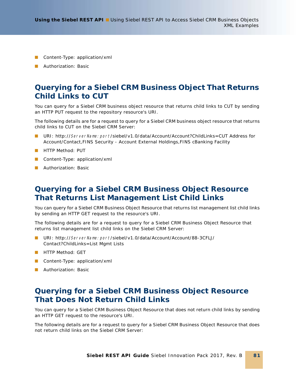- Content-Type: application/xml
- Authorization: Basic

## **Querying for a Siebel CRM Business Object That Returns Child Links to CUT**

You can query for a Siebel CRM business object resource that returns child links to CUT by sending an HTTP PUT request to the repository resource's URI.

The following details are for a request to query for a Siebel CRM business object resource that returns child links to CUT on the Siebel CRM Server:

- URI: http://*ServerName: port/siebel/v1.0/data/Account/Account?ChildLinks=CUT Address for* Account/Contact,FINS Security - Account External Holdings,FINS cBanking Facility
- **B** HTTP Method: PUT
- Content-Type: application/xml
- Authorization: Basic

### **Querying for a Siebel CRM Business Object Resource That Returns List Management List Child Links**

You can query for a Siebel CRM Business Object Resource that returns list management list child links by sending an HTTP GET request to the resource's URI.

The following details are for a request to query for a Siebel CRM Business Object Resource that returns list management list child links on the Siebel CRM Server:

- URI: http://*ServerName: port/siebel/v1.0/data/Account/Account/88-3CFLJ/* Contact?ChildLinks=List Mgmt Lists
- **B** HTTP Method: GET
- Content-Type: application/xml
- Authorization: Basic

## **Querying for a Siebel CRM Business Object Resource That Does Not Return Child Links**

You can query for a Siebel CRM Business Object Resource that does not return child links by sending an HTTP GET request to the resource's URI.

The following details are for a request to query for a Siebel CRM Business Object Resource that does not return child links on the Siebel CRM Server: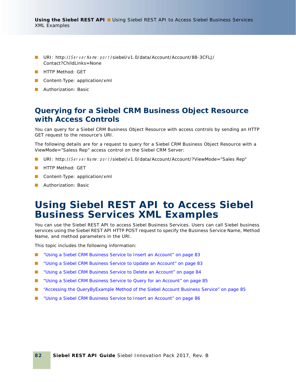- URI: http://*ServerName: port/*siebel/v1.0/data/Account/Account/88-3CFLJ/ Contact?ChildLinks=None
- **B** HTTP Method: GET
- Content-Type: application/xml
- Authorization: Basic

### **Querying for a Siebel CRM Business Object Resource with Access Controls**

You can query for a Siebel CRM Business Object Resource with access controls by sending an HTTP GET request to the resource's URI.

The following details are for a request to query for a Siebel CRM Business Object Resource with a ViewMode="Saless Rep" access control on the Siebel CRM Server:

- URI: http://*ServerName: port/siebel/v1.0/data/Account/Account/?ViewMode="Sales Rep"*
- HTTP Method: GET
- Content-Type: application/xml
- Authorization: Basic

## **Using Siebel REST API to Access Siebel Business Services XML Examples**

You can use the Siebel REST API to access Siebel Business Services. Users can call Siebel business services using the Siebel REST API HTTP POST request to specify the Business Service Name, Method Name, and method parameters in the URI.

This topic includes the following information:

- ["Using a Siebel CRM Business Service to Insert an Account" on page 83](#page-82-0)
- ["Using a Siebel CRM Business Service to Update an Account" on page 83](#page-82-1)
- ["Using a Siebel CRM Business Service to Delete an Account" on page 84](#page-83-0)
- ["Using a Siebel CRM Business Service to Query for an Account" on page 85](#page-84-0)
- ["Accessing the QueryByExample Method of the Siebel Account Business Service" on page 85](#page-84-1)
- ["Using a Siebel CRM Business Service to Insert an Account" on page 86](#page-85-0)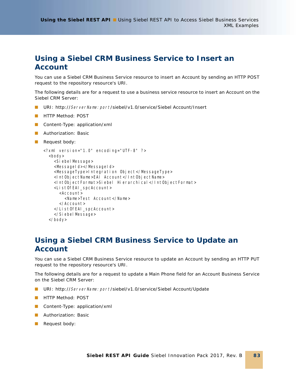### <span id="page-82-0"></span>**Using a Siebel CRM Business Service to Insert an Account**

You can use a Siebel CRM Business Service resource to insert an Account by sending an HTTP POST request to the repository resource's URI.

The following details are for a request to use a business service resource to insert an Account on the Siebel CRM Server:

- URI: http://*ServerName: port/siebel/v1.0/service/Siebel Account/Insert*
- HTTP Method: POST
- Content-Type: application/xml
- Authorization: Basic
- Request body:

```
<?xml version="1.0" encoding="UTF-8" ?>
  <body>
    <SiebelMessage>
    <MessageId></MessageId>
    <MessageType>Integration Object</MessageType>
    <IntObjectName>EAI Account</IntObjectName>
    <IntObjectFormat>Siebel Hierarchical</IntObjectFormat>
    <ListOfEAI_spcAccount>
      <Account>
        <Name>Test Account</Name>
      </Account>
    </ListOfEAI_spcAccount>
    </SiebelMessage>
  </body>
```
### <span id="page-82-1"></span>**Using a Siebel CRM Business Service to Update an Account**

You can use a Siebel CRM Business Service resource to update an Account by sending an HTTP PUT request to the repository resource's URI.

The following details are for a request to update a Main Phone field for an Account Business Service on the Siebel CRM Server:

- URI: http://ServerName: port/siebel/v1.0/service/Siebel Account/Update
- **B** HTTP Method: POST
- Content-Type: application/xml
- Authorization: Basic
- Request body: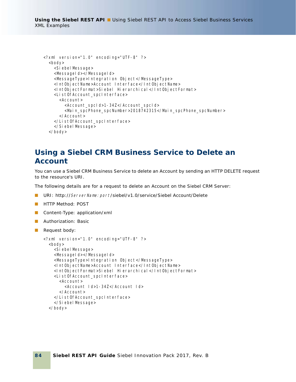```
<?xml version="1.0" encoding="UTF-8" ?>
 <body>
    <SiebelMessage>
    <MessageId></MessageId>
    <MessageType>Integration Object</MessageType>
    <IntObjectName>Account Interface</IntObjectName>
    <IntObjectFormat>Siebel Hierarchical</IntObjectFormat>
    <ListOfAccount_spcInterface>
      <Account>
        <Account_spcId>1-34Z</Account_spcId>
        <Main_spcPhone_spcNumber>2018742315</Main_spcPhone_spcNumber>
      </Account>
    </ListOfAccount_spcInterface>
    </SiebelMessage>
  </body>
```
## <span id="page-83-0"></span>**Using a Siebel CRM Business Service to Delete an Account**

You can use a Siebel CRM Business Service to delete an Account by sending an HTTP DELETE request to the resource's URI.

The following details are for a request to delete an Account on the Siebel CRM Server:

- URI: http://ServerName: port/siebel/v1.0/service/Siebel Account/Delete
- HTTP Method: POST
- Content-Type: application/xml
- Authorization: Basic
- Request body:

```
<?xml version="1.0" encoding="UTF-8" ?>
  <body>
    <SiebelMessage>
    <MessageId></MessageId>
    <MessageType>Integration Object</MessageType>
    <IntObjectName>Account Interface</IntObjectName>
    <IntObjectFormat>Siebel Hierarchical</IntObjectFormat>
    <ListOfAccount_spcInterface>
      <Account>
        <Account Id>1-34Z</Account Id>
      </Account>
    </ListOfAccount_spcInterface>
    </SiebelMessage>
  </body>
```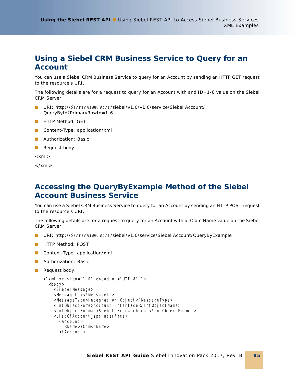### <span id="page-84-0"></span>**Using a Siebel CRM Business Service to Query for an Account**

You can use a Siebel CRM Business Service to query for an Account by sending an HTTP GET request to the resource's URI.

The following details are for a request to query for an Account with and ID=1-6 value on the Siebel CRM Server:

- URI: http://*ServerName: port/siebel/v1.0/v1.0/service/Siebel Account/* QueryById?PrimaryRowId=1-6
- **B** HTTP Method: GET
- Content-Type: application/xml
- Authorization: Basic
- Request body:

<xml>

</xml>

#### <span id="page-84-1"></span>**Accessing the QueryByExample Method of the Siebel Account Business Service**

You can use a Siebel CRM Business Service to query for an Account by sending an HTTP POST request to the resource's URI.

The following details are for a request to query for an Account with a 3Com Name value on the Siebel CRM Server:

- URI: http://*ServerName: port/siebel/v1.0/service/Siebel Account/QueryByExample*
- **B** HTTP Method: POST
- Content-Type: application/xml
- Authorization: Basic
- Request body:

```
<?xml version="1.0" encoding="UTF-8" ?>
  <body>
    <SiebelMessage>
    <MessageId></MessageId>
    <MessageType>Integration Object</MessageType>
    <IntObjectName>Account Interface</IntObjectName>
    <IntObjectFormat>Siebel Hierarchical</IntObjectFormat>
    <ListOfAccount_spcInterface>
      <Account>
        <Name>3Com</Name>
      </Account>
```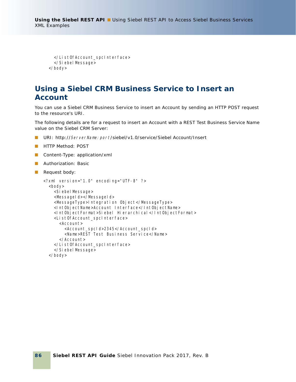**Using the Siebel REST API** ■ Using Siebel REST API to Access Siebel Business Services XML Examples

```
</ListOfAccount_spcInterface>
  </SiebelMessage>
</body>
```
#### <span id="page-85-0"></span>**Using a Siebel CRM Business Service to Insert an Account**

You can use a Siebel CRM Business Service to insert an Account by sending an HTTP POST request to the resource's URI.

The following details are for a request to insert an Account with a REST Test Business Service Name value on the Siebel CRM Server:

- URI: http://*ServerName: port/*siebel/v1.0/service/Siebel Account/Insert
- HTTP Method: POST
- Content-Type: application/xml
- Authorization: Basic
- Request body:

```
<?xml version="1.0" encoding="UTF-8" ?>
 <body>
    <SiebelMessage>
    <MessageId></MessageId>
    <MessageType>Integration Object</MessageType>
    <IntObjectName>Account Interface</IntObjectName>
    <IntObjectFormat>Siebel Hierarchical</IntObjectFormat>
    <ListOfAccount_spcInterface>
      <Account>
        <Account_spcId>2345</Account_spcId>
        <Name>REST Test Business Service</Name>
      </Account>
    </ListOfAccount_spcInterface>
    </SiebelMessage>
  </body>
```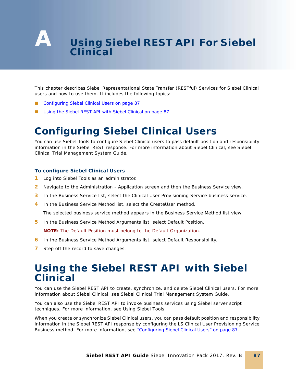# **A Using Siebel REST API For Siebel Clinical**

This chapter describes Siebel Representational State Transfer (RESTful) Services for Siebel Clinical users and how to use them. It includes the following topics:

- [Configuring Siebel Clinical Users on page 87](#page-86-0)
- [Using the Siebel REST API with Siebel Clinical on page 87](#page-86-1)

## <span id="page-86-0"></span>**Configuring Siebel Clinical Users**

You can use Siebel Tools to configure Siebel Clinical users to pass default position and responsibility information in the Siebel REST response. For more information about Siebel Clinical, see *Siebel Clinical Trial Management System Guide*.

#### *To configure Siebel Clinical Users*

- **1** Log into Siebel Tools as an administrator.
- **2** Navigate to the Administration Application screen and then the Business Service view.
- **3** In the Business Service list, select the Clinical User Provisioning Service business service.
- **4** In the Business Service Method list, select the CreateUser method.

The selected business service method appears in the Business Service Method list view.

**5** In the Business Service Method Arguments list, select Default Position.

**NOTE:** The Default Position must belong to the Default Organization.

- **6** In the Business Service Method Arguments list, select Default Responsibility.
- **7** Step off the record to save changes.

## <span id="page-86-2"></span><span id="page-86-1"></span>**Using the Siebel REST API with Siebel Clinical**

You can use the Siebel REST API to create, synchronize, and delete Siebel Clinical users. For more information about Siebel Clinical, see *Siebel Clinical Trial Management System Guide*.

You can also use the Siebel REST API to invoke business services using Siebel server script techniques. For more information, see *Using Siebel Tools*.

When you create or synchronize Siebel Clinical users, you can pass default position and responsibility information in the Siebel REST API response by configuring the LS Clinical User Provisioning Service Business method. For more information, see ["Configuring Siebel Clinical Users" on page 87.](#page-86-0)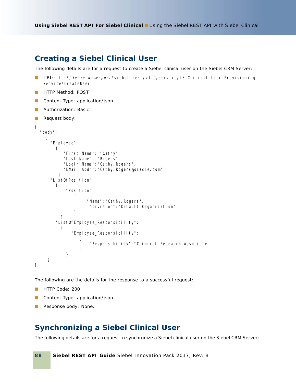#### <span id="page-87-0"></span>**Creating a Siebel Clinical User**

The following details are for a request to create a Siebel clinical user on the Siebel CRM Server:

- URI:http://ServerName: port/siebel-rest/v1.0/service/LS Clinical User Provisioning Service/CreateUser
- **B** HTTP Method: POST
- Content-Type: application/json
- Authorization: Basic

```
■ Request body:
{
  "body": 
    {
      "Employee":
        {
           "First Name": "Cathy",
           "Last Name": "Rogers",
           "Login Name": "Cathy. Rogers",
           "EMail Addr": "Cathy. Rogers@oracle.com"
         } 
      "ListOfPosition": 
        {
             "Position":
                {
                     "Name": "Cathy. Rogers",
                       "Division":"Default Organization"
                }
          },
        "ListOfEmployee_Responsibility":
           {
               "Employee_Responsibility":
                  {
                       "Responsibility":"Clinical Research Associate
                  }
             }
     }
}
```
The following are the details for the response to a successful request:

- HTTP Code: 200
- Content-Type: application/json
- Response body: None.

#### <span id="page-87-1"></span>**Synchronizing a Siebel Clinical User**

The following details are for a request to synchronize a Siebel clinical user on the Siebel CRM Server: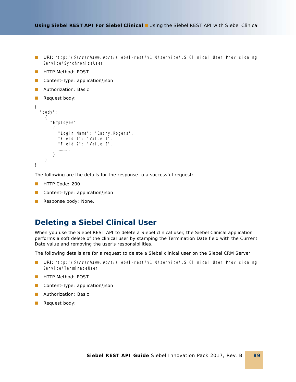- URI: http://*ServerName: port/siebel-rest/v1.0/service/LS Clinical User Provisioning* Service/SynchronizeUser
- **B** HTTP Method: POST
- Content-Type: application/json
- Authorization: Basic

```
■ Request body:
```

```
{
  "body": 
    {
      "Employee":
       {
         "Login Name": "Cathy. Rogers",
         "Field 1": "Value 1",
         "Field 2": "Value 2",
          ………
       }
    }
}
```
The following are the details for the response to a successful request:

- **B** HTTP Code: 200
- Content-Type: application/json
- Response body: None.

#### <span id="page-88-0"></span>**Deleting a Siebel Clinical User**

When you use the Siebel REST API to delete a Siebel clinical user, the Siebel Clinical application performs a soft delete of the clinical user by stamping the Termination Date field with the Current Date value and removing the user's responsibilities.

The following details are for a request to delete a Siebel clinical user on the Siebel CRM Server:

- URI: http://ServerName: port/siebel-rest/v1.0/service/LS Clinical User Provisioning Service/TerminateUser
- **B** HTTP Method: POST
- Content-Type: application/json
- Authorization: Basic
- Request body: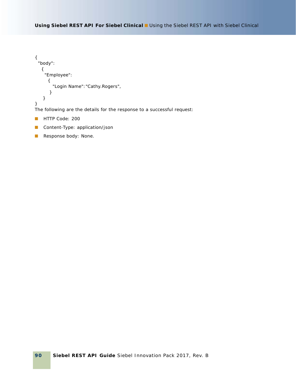```
{
 "body": 
   {
    "Employee": 
      {
       "Login Name":"Cathy.Rogers",
      } 
   }
}
```
The following are the details for the response to a successful request:

- HTTP Code: 200
- Content-Type: application/json
- Response body: None.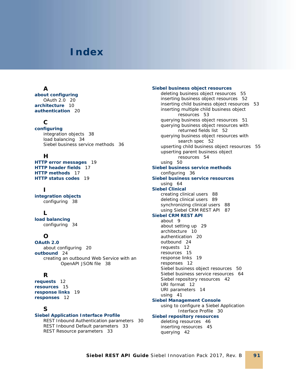## **Index**

#### **A**

**about configuring** [OAuth 2.0 20](#page-19-0) **architecture** [10](#page-9-0) **authentication** [20](#page-19-1)

#### **C**

**configuring** [integration objects 38](#page-37-0) [load balancing 34](#page-33-0) [Siebel business service methods 36](#page-35-0)

#### **H**

**HTTP error messages** [19](#page-18-0) **HTTP header fields** [17](#page-16-0) **HTTP methods** [17](#page-16-1) **HTTP status codes** [19](#page-18-0)

#### **I**

**integration objects** [configuring 38](#page-37-0)

#### **L**

**load balancing** [configuring 34](#page-33-0)

#### **O**

**OAuth 2.0** [about configuring 20](#page-19-0) **outbound** [24](#page-23-0) [creating an outbound Web Service with an](#page-37-1)  OpenAPI JSON file 38

#### **R**

**requests** [12](#page-11-0) **resources** [15](#page-14-0) **response links** [19](#page-18-1) **responses** [12](#page-11-0)

#### **S**

**Siebel Application Interface Profile**

[REST Inbound Authentication parameters 30](#page-29-0) [REST Inbound Default parameters 33](#page-32-0) [REST Resource parameters 33](#page-32-1)

#### **Siebel business object resources**

[deleting business object resources 55](#page-54-0) [inserting business object resources 52](#page-51-0) [inserting child business object resources 53](#page-52-0) [inserting multiple child business object](#page-52-1)  resources 53 [querying business object resources 51](#page-50-0) [querying business object resources with](#page-51-1)  returned fields list 52 [querying business object resources with](#page-51-2)  search spec 52 [upserting child business object resources 55](#page-54-1) [upserting parent business object](#page-53-0)  resources 54 [using 50](#page-49-0) **Siebel business service methods** [configuring 36](#page-35-0) **Siebel business service resources** [using 64](#page-63-0) **Siebel Clinical** [creating clinical users 88](#page-87-0) [deleting clinical users 89](#page-88-0) [synchronizing clinical users 88](#page-87-1) [using Siebel CRM REST API 87](#page-86-2) **Siebel CRM REST API** [about 9](#page-8-0) [about setting up 29](#page-28-0) [architecture 10](#page-9-0) [authentication 20](#page-19-1) [outbound 24](#page-23-0) [requests 12](#page-11-0) [resources 15](#page-14-0) [response links 19](#page-18-1) [responses 12](#page-11-0) [Siebel business object resources 50](#page-49-0) [Siebel business service resources 64](#page-63-0) [Siebel repository resources 42](#page-41-0) [URI format 12](#page-11-1) [URI parameters 14](#page-13-0) [using 41](#page-40-0) **Siebel Management Console** [using to configure a Siebel Application](#page-29-1)  Interface Profile 30 **Siebel repository resources** [deleting resources 46](#page-45-0) [inserting resources 45](#page-44-0) [querying 42](#page-41-1)